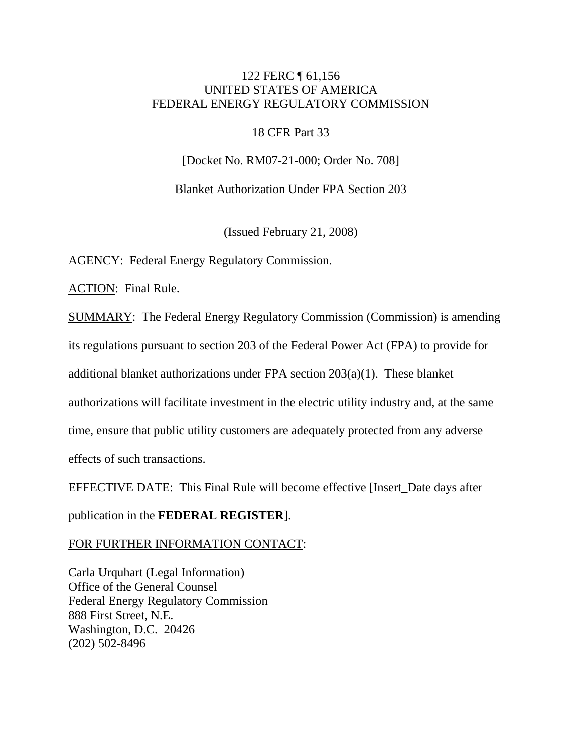# 122 FERC ¶ 61,156 UNITED STATES OF AMERICA FEDERAL ENERGY REGULATORY COMMISSION

### 18 CFR Part 33

[Docket No. RM07-21-000; Order No. 708]

Blanket Authorization Under FPA Section 203

(Issued February 21, 2008)

AGENCY: Federal Energy Regulatory Commission.

ACTION: Final Rule.

SUMMARY: The Federal Energy Regulatory Commission (Commission) is amending its regulations pursuant to section 203 of the Federal Power Act (FPA) to provide for additional blanket authorizations under FPA section 203(a)(1). These blanket authorizations will facilitate investment in the electric utility industry and, at the same time, ensure that public utility customers are adequately protected from any adverse effects of such transactions.

EFFECTIVE DATE: This Final Rule will become effective [Insert\_Date days after

publication in the **FEDERAL REGISTER**].

FOR FURTHER INFORMATION CONTACT:

Carla Urquhart (Legal Information) Office of the General Counsel Federal Energy Regulatory Commission 888 First Street, N.E. Washington, D.C. 20426 (202) 502-8496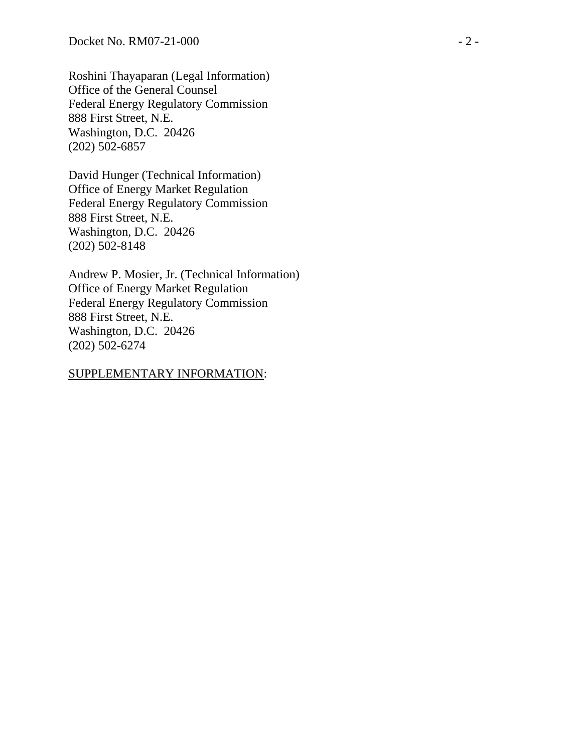Roshini Thayaparan (Legal Information) Office of the General Counsel Federal Energy Regulatory Commission 888 First Street, N.E. Washington, D.C. 20426 (202) 502-6857

David Hunger (Technical Information) Office of Energy Market Regulation Federal Energy Regulatory Commission 888 First Street, N.E. Washington, D.C. 20426 (202) 502-8148

Andrew P. Mosier, Jr. (Technical Information) Office of Energy Market Regulation Federal Energy Regulatory Commission 888 First Street, N.E. Washington, D.C. 20426 (202) 502-6274

#### SUPPLEMENTARY INFORMATION: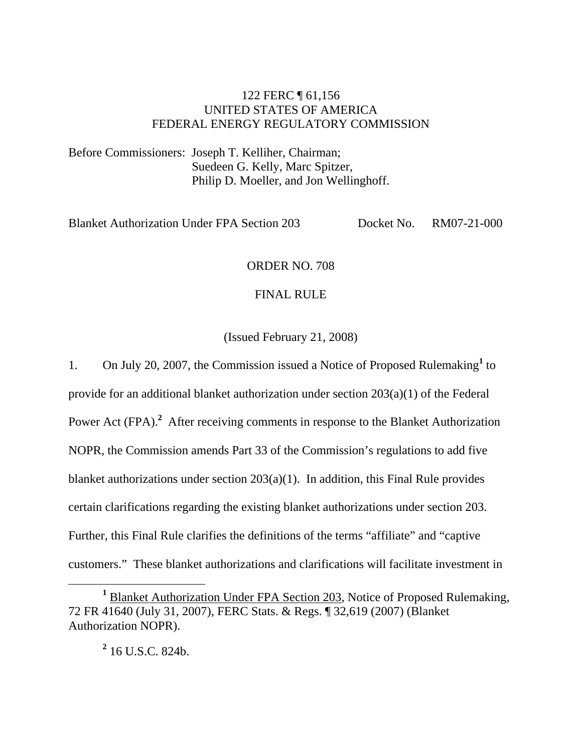# 122 FERC ¶ 61,156 UNITED STATES OF AMERICA FEDERAL ENERGY REGULATORY COMMISSION

Before Commissioners: Joseph T. Kelliher, Chairman; Suedeen G. Kelly, Marc Spitzer, Philip D. Moeller, and Jon Wellinghoff.

Blanket Authorization Under FPA Section 203 Docket No. RM07-21-000

### ORDER NO. 708

### FINAL RULE

(Issued February 21, 2008)

1. On July 20, 2007, the Commission issued a Notice of Proposed Rulemaking<sup>1</sup> to provide for an additional blanket authorization under section 203(a)(1) of the Federal Power Act (FPA).<sup>2</sup> After receiving comments in response to the Blanket Authorization NOPR, the Commission amends Part 33 of the Commission's regulations to add five blanket authorizations under section 203(a)(1). In addition, this Final Rule provides certain clarifications regarding the existing blanket authorizations under section 203. Further, this Final Rule clarifies the definitions of the terms "affiliate" and "captive customers." These blanket authorizations and clarifications will facilitate investment in

**2** 16 U.S.C. 824b.

<sup>&</sup>lt;u>1</u> <sup>1</sup> Blanket Authorization Under FPA Section 203, Notice of Proposed Rulemaking, 72 FR 41640 (July 31, 2007), FERC Stats. & Regs. ¶ 32,619 (2007) (Blanket Authorization NOPR).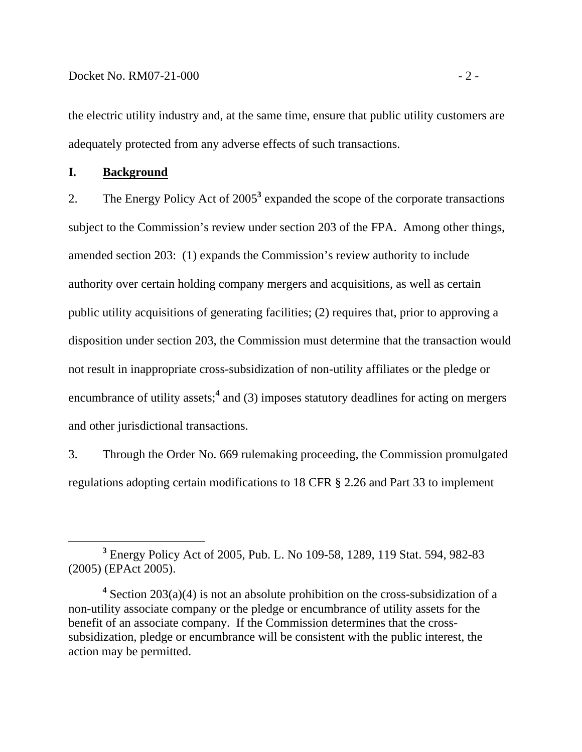the electric utility industry and, at the same time, ensure that public utility customers are adequately protected from any adverse effects of such transactions.

# **I. Background**

2. The Energy Policy Act of 2005<sup>3</sup> expanded the scope of the corporate transactions subject to the Commission's review under section 203 of the FPA. Among other things, amended section 203: (1) expands the Commission's review authority to include authority over certain holding company mergers and acquisitions, as well as certain public utility acquisitions of generating facilities; (2) requires that, prior to approving a disposition under section 203, the Commission must determine that the transaction would not result in inappropriate cross-subsidization of non-utility affiliates or the pledge or encumbrance of utility assets;<sup>4</sup> and (3) imposes statutory deadlines for acting on mergers and other jurisdictional transactions.

3. Through the Order No. 669 rulemaking proceeding, the Commission promulgated regulations adopting certain modifications to 18 CFR § 2.26 and Part 33 to implement

**<sup>3</sup>** <sup>3</sup> Energy Policy Act of 2005, Pub. L. No 109-58, 1289, 119 Stat. 594, 982-83 (2005) (EPAct 2005).

<sup>&</sup>lt;sup>4</sup> Section 203(a)(4) is not an absolute prohibition on the cross-subsidization of a non-utility associate company or the pledge or encumbrance of utility assets for the benefit of an associate company. If the Commission determines that the crosssubsidization, pledge or encumbrance will be consistent with the public interest, the action may be permitted.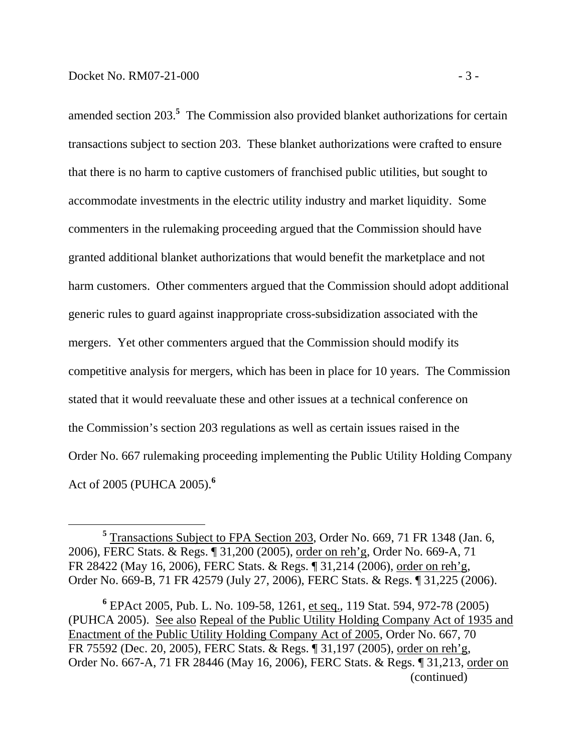amended section 203.**<sup>5</sup>** The Commission also provided blanket authorizations for certain transactions subject to section 203. These blanket authorizations were crafted to ensure that there is no harm to captive customers of franchised public utilities, but sought to accommodate investments in the electric utility industry and market liquidity. Some commenters in the rulemaking proceeding argued that the Commission should have granted additional blanket authorizations that would benefit the marketplace and not harm customers. Other commenters argued that the Commission should adopt additional generic rules to guard against inappropriate cross-subsidization associated with the mergers. Yet other commenters argued that the Commission should modify its competitive analysis for mergers, which has been in place for 10 years. The Commission stated that it would reevaluate these and other issues at a technical conference on the Commission's section 203 regulations as well as certain issues raised in the Order No. 667 rulemaking proceeding implementing the Public Utility Holding Company Act of 2005 (PUHCA 2005).**<sup>6</sup>**

**<sup>5</sup>** <sup>5</sup> Transactions Subject to FPA Section 203, Order No. 669, 71 FR 1348 (Jan. 6, 2006), FERC Stats. & Regs. ¶ 31,200 (2005), order on reh'g, Order No. 669-A, 71 FR 28422 (May 16, 2006), FERC Stats. & Regs. ¶ 31,214 (2006), order on reh'g, Order No. 669-B, 71 FR 42579 (July 27, 2006), FERC Stats. & Regs. ¶ 31,225 (2006).

**<sup>6</sup>** EPAct 2005, Pub. L. No. 109-58, 1261, et seq., 119 Stat. 594, 972-78 (2005) (PUHCA 2005). See also Repeal of the Public Utility Holding Company Act of 1935 and Enactment of the Public Utility Holding Company Act of 2005, Order No. 667, 70 FR 75592 (Dec. 20, 2005), FERC Stats. & Regs. ¶ 31,197 (2005), order on reh'g, Order No. 667-A, 71 FR 28446 (May 16, 2006), FERC Stats. & Regs. ¶ 31,213, order on (continued)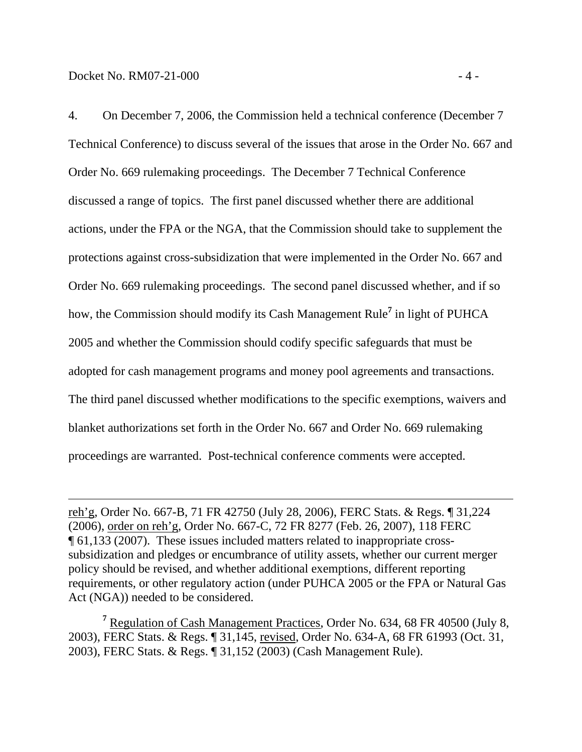$\overline{a}$ 

4. On December 7, 2006, the Commission held a technical conference (December 7 Technical Conference) to discuss several of the issues that arose in the Order No. 667 and Order No. 669 rulemaking proceedings. The December 7 Technical Conference discussed a range of topics. The first panel discussed whether there are additional actions, under the FPA or the NGA, that the Commission should take to supplement the protections against cross-subsidization that were implemented in the Order No. 667 and Order No. 669 rulemaking proceedings. The second panel discussed whether, and if so how, the Commission should modify its Cash Management Rule**<sup>7</sup>** in light of PUHCA 2005 and whether the Commission should codify specific safeguards that must be adopted for cash management programs and money pool agreements and transactions. The third panel discussed whether modifications to the specific exemptions, waivers and blanket authorizations set forth in the Order No. 667 and Order No. 669 rulemaking proceedings are warranted. Post-technical conference comments were accepted.

reh'g, Order No. 667-B, 71 FR 42750 (July 28, 2006), FERC Stats. & Regs. ¶ 31,224 (2006), order on reh'g, Order No. 667-C, 72 FR 8277 (Feb. 26, 2007), 118 FERC ¶ 61,133 (2007). These issues included matters related to inappropriate crosssubsidization and pledges or encumbrance of utility assets, whether our current merger policy should be revised, and whether additional exemptions, different reporting requirements, or other regulatory action (under PUHCA 2005 or the FPA or Natural Gas Act (NGA)) needed to be considered.

<sup>7</sup> Regulation of Cash Management Practices, Order No. 634, 68 FR 40500 (July 8, 2003), FERC Stats. & Regs. ¶ 31,145, revised, Order No. 634-A, 68 FR 61993 (Oct. 31, 2003), FERC Stats. & Regs. ¶ 31,152 (2003) (Cash Management Rule).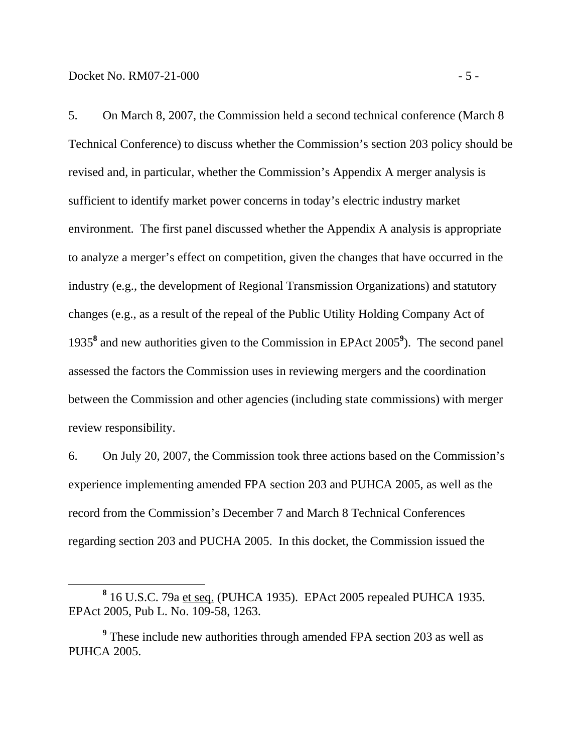5. On March 8, 2007, the Commission held a second technical conference (March 8 Technical Conference) to discuss whether the Commission's section 203 policy should be revised and, in particular, whether the Commission's Appendix A merger analysis is sufficient to identify market power concerns in today's electric industry market environment. The first panel discussed whether the Appendix A analysis is appropriate to analyze a merger's effect on competition, given the changes that have occurred in the industry (e.g., the development of Regional Transmission Organizations) and statutory changes (e.g., as a result of the repeal of the Public Utility Holding Company Act of 1935**<sup>8</sup>** and new authorities given to the Commission in EPAct 2005**<sup>9</sup>** ). The second panel assessed the factors the Commission uses in reviewing mergers and the coordination between the Commission and other agencies (including state commissions) with merger review responsibility.

6. On July 20, 2007, the Commission took three actions based on the Commission's experience implementing amended FPA section 203 and PUHCA 2005, as well as the record from the Commission's December 7 and March 8 Technical Conferences regarding section 203 and PUCHA 2005. In this docket, the Commission issued the

**<sup>8</sup>** 16 U.S.C. 79a et seq. (PUHCA 1935). EPAct 2005 repealed PUHCA 1935. EPAct 2005, Pub L. No. 109-58, 1263.

<sup>&</sup>lt;sup>9</sup> These include new authorities through amended FPA section 203 as well as PUHCA 2005.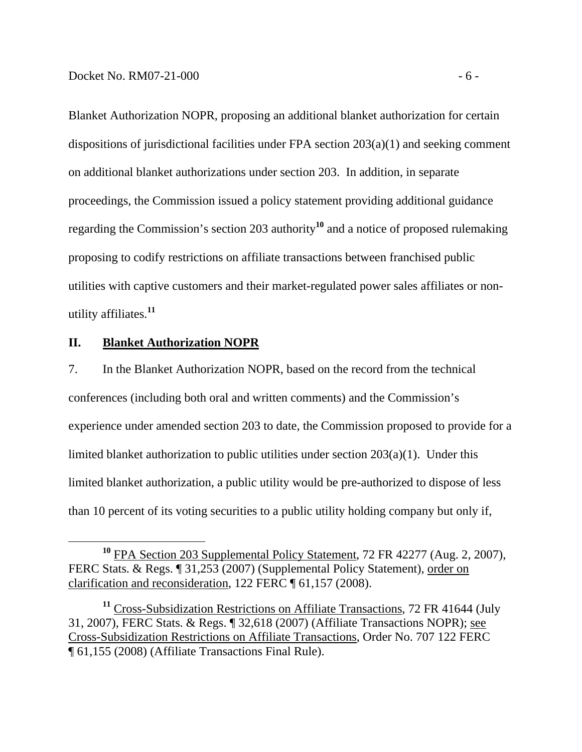Blanket Authorization NOPR, proposing an additional blanket authorization for certain dispositions of jurisdictional facilities under FPA section 203(a)(1) and seeking comment on additional blanket authorizations under section 203. In addition, in separate proceedings, the Commission issued a policy statement providing additional guidance regarding the Commission's section 203 authority**<sup>10</sup>** and a notice of proposed rulemaking proposing to codify restrictions on affiliate transactions between franchised public utilities with captive customers and their market-regulated power sales affiliates or nonutility affiliates.**<sup>11</sup>**

### **II. Blanket Authorization NOPR**

7. In the Blanket Authorization NOPR, based on the record from the technical conferences (including both oral and written comments) and the Commission's experience under amended section 203 to date, the Commission proposed to provide for a limited blanket authorization to public utilities under section 203(a)(1). Under this limited blanket authorization, a public utility would be pre-authorized to dispose of less than 10 percent of its voting securities to a public utility holding company but only if,

**<sup>10</sup>** FPA Section 203 Supplemental Policy Statement, 72 FR 42277 (Aug. 2, 2007), FERC Stats. & Regs. ¶ 31,253 (2007) (Supplemental Policy Statement), order on clarification and reconsideration, 122 FERC ¶ 61,157 (2008).

**<sup>11</sup>** Cross-Subsidization Restrictions on Affiliate Transactions, 72 FR 41644 (July 31, 2007), FERC Stats. & Regs. ¶ 32,618 (2007) (Affiliate Transactions NOPR); see Cross-Subsidization Restrictions on Affiliate Transactions, Order No. 707 122 FERC ¶ 61,155 (2008) (Affiliate Transactions Final Rule).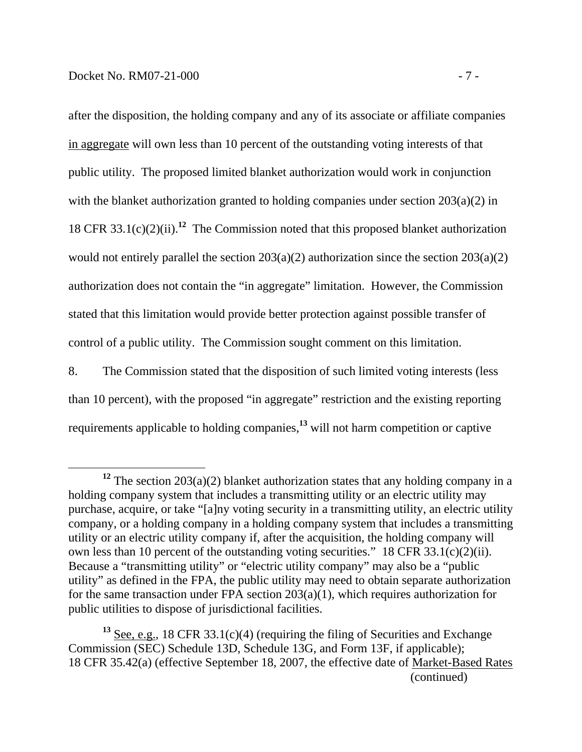after the disposition, the holding company and any of its associate or affiliate companies in aggregate will own less than 10 percent of the outstanding voting interests of that public utility. The proposed limited blanket authorization would work in conjunction with the blanket authorization granted to holding companies under section 203(a)(2) in

18 CFR 33.1(c)(2)(ii).**<sup>12</sup>** The Commission noted that this proposed blanket authorization

would not entirely parallel the section  $203(a)(2)$  authorization since the section  $203(a)(2)$ 

authorization does not contain the "in aggregate" limitation. However, the Commission

stated that this limitation would provide better protection against possible transfer of

control of a public utility. The Commission sought comment on this limitation.

8. The Commission stated that the disposition of such limited voting interests (less than 10 percent), with the proposed "in aggregate" restriction and the existing reporting requirements applicable to holding companies,**<sup>13</sup>** will not harm competition or captive

**<sup>12</sup>** The section 203(a)(2) blanket authorization states that any holding company in a holding company system that includes a transmitting utility or an electric utility may purchase, acquire, or take "[a]ny voting security in a transmitting utility, an electric utility company, or a holding company in a holding company system that includes a transmitting utility or an electric utility company if, after the acquisition, the holding company will own less than 10 percent of the outstanding voting securities." 18 CFR 33.1(c)(2)(ii). Because a "transmitting utility" or "electric utility company" may also be a "public utility" as defined in the FPA, the public utility may need to obtain separate authorization for the same transaction under FPA section 203(a)(1), which requires authorization for public utilities to dispose of jurisdictional facilities.

<sup>&</sup>lt;sup>13</sup> See, e.g., 18 CFR 33.1(c)(4) (requiring the filing of Securities and Exchange Commission (SEC) Schedule 13D, Schedule 13G, and Form 13F, if applicable); 18 CFR 35.42(a) (effective September 18, 2007, the effective date of Market-Based Rates (continued)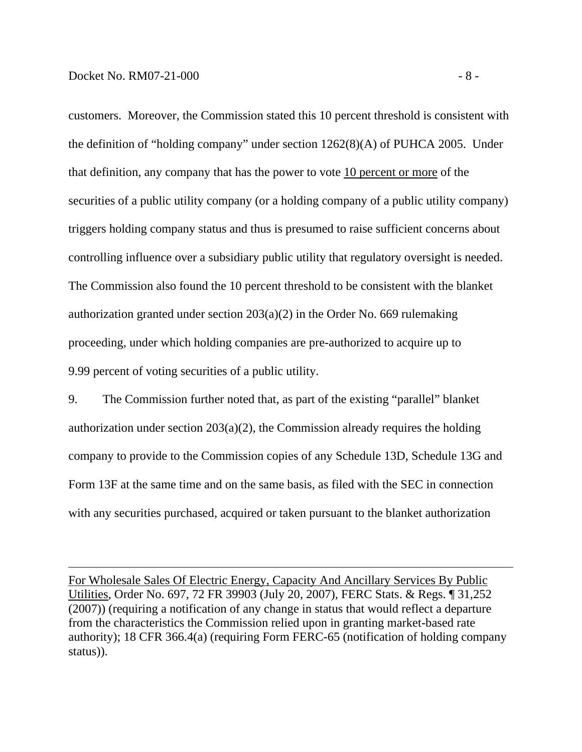$\overline{a}$ 

customers. Moreover, the Commission stated this 10 percent threshold is consistent with the definition of "holding company" under section 1262(8)(A) of PUHCA 2005. Under that definition, any company that has the power to vote 10 percent or more of the securities of a public utility company (or a holding company of a public utility company) triggers holding company status and thus is presumed to raise sufficient concerns about controlling influence over a subsidiary public utility that regulatory oversight is needed. The Commission also found the 10 percent threshold to be consistent with the blanket authorization granted under section 203(a)(2) in the Order No. 669 rulemaking proceeding, under which holding companies are pre-authorized to acquire up to 9.99 percent of voting securities of a public utility.

9. The Commission further noted that, as part of the existing "parallel" blanket authorization under section  $203(a)(2)$ , the Commission already requires the holding company to provide to the Commission copies of any Schedule 13D, Schedule 13G and Form 13F at the same time and on the same basis, as filed with the SEC in connection with any securities purchased, acquired or taken pursuant to the blanket authorization

For Wholesale Sales Of Electric Energy, Capacity And Ancillary Services By Public Utilities, Order No. 697, 72 FR 39903 (July 20, 2007), FERC Stats. & Regs. ¶ 31,252 (2007)) (requiring a notification of any change in status that would reflect a departure from the characteristics the Commission relied upon in granting market-based rate authority); 18 CFR 366.4(a) (requiring Form FERC-65 (notification of holding company status)).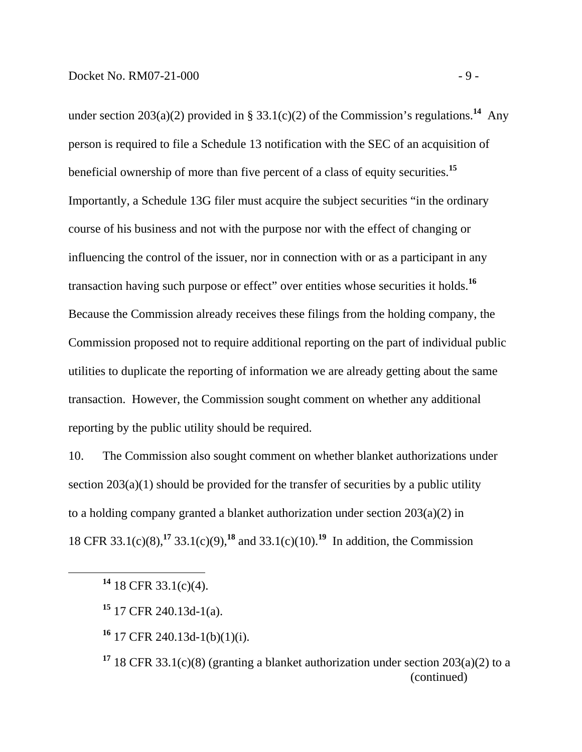under section 203(a)(2) provided in § 33.1(c)(2) of the Commission's regulations.<sup>14</sup> Any person is required to file a Schedule 13 notification with the SEC of an acquisition of beneficial ownership of more than five percent of a class of equity securities.**<sup>15</sup>** Importantly, a Schedule 13G filer must acquire the subject securities "in the ordinary course of his business and not with the purpose nor with the effect of changing or influencing the control of the issuer, nor in connection with or as a participant in any transaction having such purpose or effect" over entities whose securities it holds.**<sup>16</sup>** Because the Commission already receives these filings from the holding company, the Commission proposed not to require additional reporting on the part of individual public utilities to duplicate the reporting of information we are already getting about the same transaction. However, the Commission sought comment on whether any additional reporting by the public utility should be required.

10. The Commission also sought comment on whether blanket authorizations under section  $203(a)(1)$  should be provided for the transfer of securities by a public utility to a holding company granted a blanket authorization under section 203(a)(2) in 18 CFR 33.1(c)(8),**<sup>17</sup>** 33.1(c)(9),**<sup>18</sup>** and 33.1(c)(10).**<sup>19</sup>** In addition, the Commission

**<sup>14</sup>** 18 CFR 33.1(c)(4).

**<sup>15</sup>** 17 CFR 240.13d-1(a).

**<sup>16</sup>** 17 CFR 240.13d-1(b)(1)(i).

<sup>&</sup>lt;sup>17</sup> 18 CFR 33.1(c)(8) (granting a blanket authorization under section  $203(a)(2)$  to a (continued)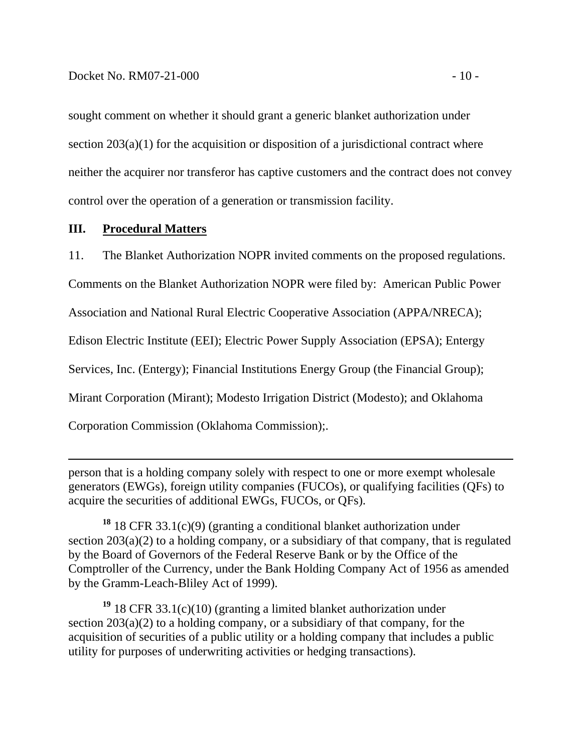sought comment on whether it should grant a generic blanket authorization under section  $203(a)(1)$  for the acquisition or disposition of a jurisdictional contract where neither the acquirer nor transferor has captive customers and the contract does not convey control over the operation of a generation or transmission facility.

### **III. Procedural Matters**

 $\overline{a}$ 

11. The Blanket Authorization NOPR invited comments on the proposed regulations.

Comments on the Blanket Authorization NOPR were filed by: American Public Power

Association and National Rural Electric Cooperative Association (APPA/NRECA);

Edison Electric Institute (EEI); Electric Power Supply Association (EPSA); Entergy

Services, Inc. (Entergy); Financial Institutions Energy Group (the Financial Group);

Mirant Corporation (Mirant); Modesto Irrigation District (Modesto); and Oklahoma

Corporation Commission (Oklahoma Commission);.

person that is a holding company solely with respect to one or more exempt wholesale generators (EWGs), foreign utility companies (FUCOs), or qualifying facilities (QFs) to acquire the securities of additional EWGs, FUCOs, or QFs).

**<sup>18</sup>** 18 CFR 33.1(c)(9) (granting a conditional blanket authorization under section  $203(a)(2)$  to a holding company, or a subsidiary of that company, that is regulated by the Board of Governors of the Federal Reserve Bank or by the Office of the Comptroller of the Currency, under the Bank Holding Company Act of 1956 as amended by the Gramm-Leach-Bliley Act of 1999).

**<sup>19</sup>** 18 CFR 33.1(c)(10) (granting a limited blanket authorization under section  $203(a)(2)$  to a holding company, or a subsidiary of that company, for the acquisition of securities of a public utility or a holding company that includes a public utility for purposes of underwriting activities or hedging transactions).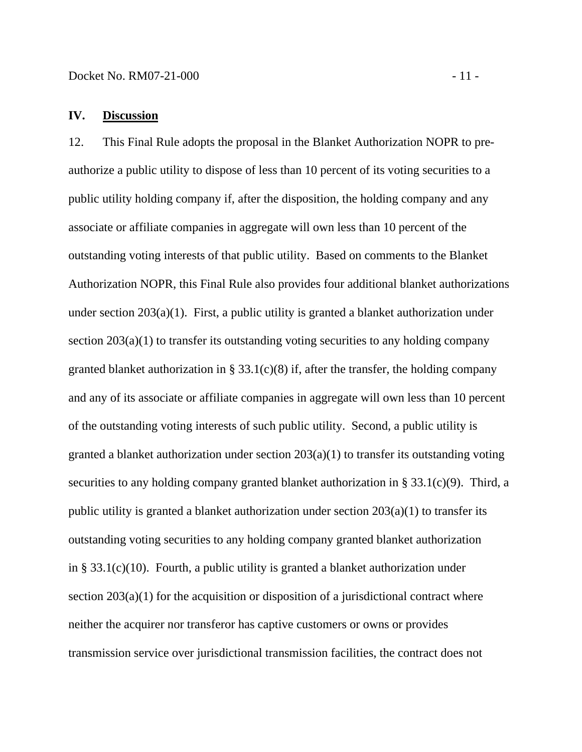# **IV. Discussion**

12. This Final Rule adopts the proposal in the Blanket Authorization NOPR to preauthorize a public utility to dispose of less than 10 percent of its voting securities to a public utility holding company if, after the disposition, the holding company and any associate or affiliate companies in aggregate will own less than 10 percent of the outstanding voting interests of that public utility. Based on comments to the Blanket Authorization NOPR, this Final Rule also provides four additional blanket authorizations under section 203(a)(1). First, a public utility is granted a blanket authorization under section 203(a)(1) to transfer its outstanding voting securities to any holding company granted blanket authorization in §  $33.1(c)(8)$  if, after the transfer, the holding company and any of its associate or affiliate companies in aggregate will own less than 10 percent of the outstanding voting interests of such public utility. Second, a public utility is granted a blanket authorization under section 203(a)(1) to transfer its outstanding voting securities to any holding company granted blanket authorization in § 33.1(c)(9). Third, a public utility is granted a blanket authorization under section 203(a)(1) to transfer its outstanding voting securities to any holding company granted blanket authorization in § 33.1(c)(10). Fourth, a public utility is granted a blanket authorization under section  $203(a)(1)$  for the acquisition or disposition of a jurisdictional contract where neither the acquirer nor transferor has captive customers or owns or provides transmission service over jurisdictional transmission facilities, the contract does not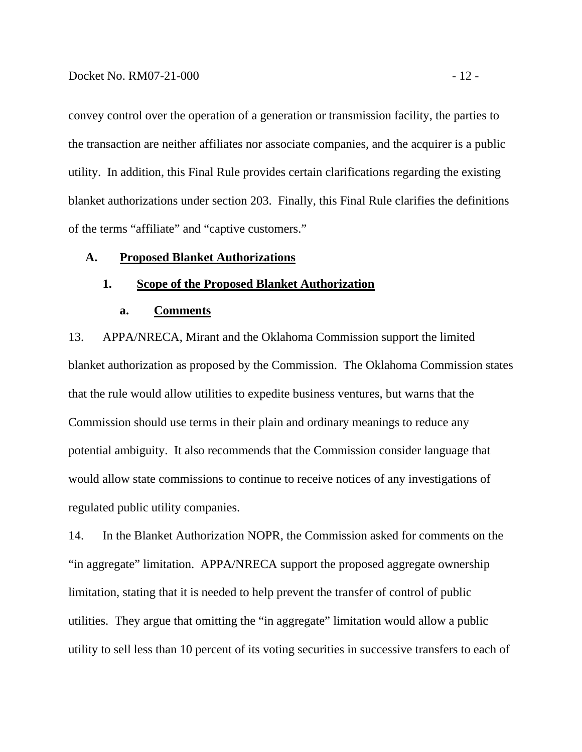convey control over the operation of a generation or transmission facility, the parties to the transaction are neither affiliates nor associate companies, and the acquirer is a public utility. In addition, this Final Rule provides certain clarifications regarding the existing blanket authorizations under section 203. Finally, this Final Rule clarifies the definitions of the terms "affiliate" and "captive customers."

#### **A. Proposed Blanket Authorizations**

### **1. Scope of the Proposed Blanket Authorization**

#### **a. Comments**

13. APPA/NRECA, Mirant and the Oklahoma Commission support the limited blanket authorization as proposed by the Commission. The Oklahoma Commission states that the rule would allow utilities to expedite business ventures, but warns that the Commission should use terms in their plain and ordinary meanings to reduce any potential ambiguity. It also recommends that the Commission consider language that would allow state commissions to continue to receive notices of any investigations of regulated public utility companies.

14. In the Blanket Authorization NOPR, the Commission asked for comments on the "in aggregate" limitation. APPA/NRECA support the proposed aggregate ownership limitation, stating that it is needed to help prevent the transfer of control of public utilities. They argue that omitting the "in aggregate" limitation would allow a public utility to sell less than 10 percent of its voting securities in successive transfers to each of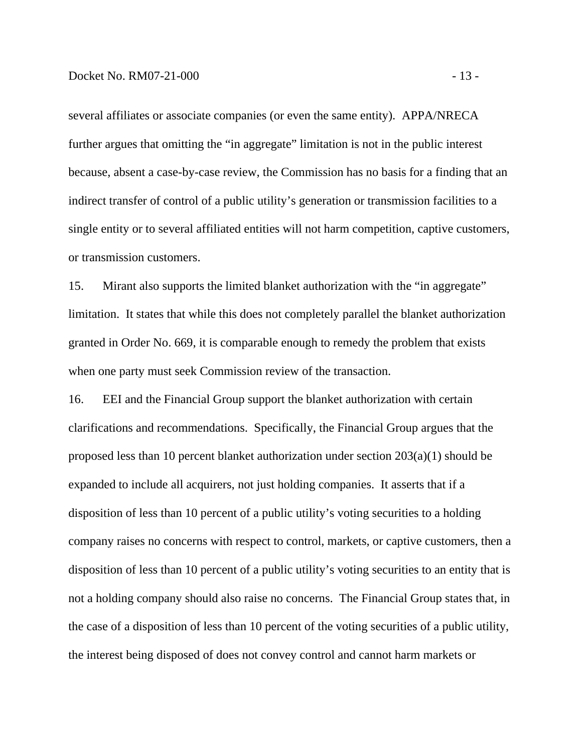several affiliates or associate companies (or even the same entity). APPA/NRECA further argues that omitting the "in aggregate" limitation is not in the public interest because, absent a case-by-case review, the Commission has no basis for a finding that an indirect transfer of control of a public utility's generation or transmission facilities to a single entity or to several affiliated entities will not harm competition, captive customers, or transmission customers.

15. Mirant also supports the limited blanket authorization with the "in aggregate" limitation. It states that while this does not completely parallel the blanket authorization granted in Order No. 669, it is comparable enough to remedy the problem that exists when one party must seek Commission review of the transaction.

16. EEI and the Financial Group support the blanket authorization with certain clarifications and recommendations. Specifically, the Financial Group argues that the proposed less than 10 percent blanket authorization under section 203(a)(1) should be expanded to include all acquirers, not just holding companies. It asserts that if a disposition of less than 10 percent of a public utility's voting securities to a holding company raises no concerns with respect to control, markets, or captive customers, then a disposition of less than 10 percent of a public utility's voting securities to an entity that is not a holding company should also raise no concerns. The Financial Group states that, in the case of a disposition of less than 10 percent of the voting securities of a public utility, the interest being disposed of does not convey control and cannot harm markets or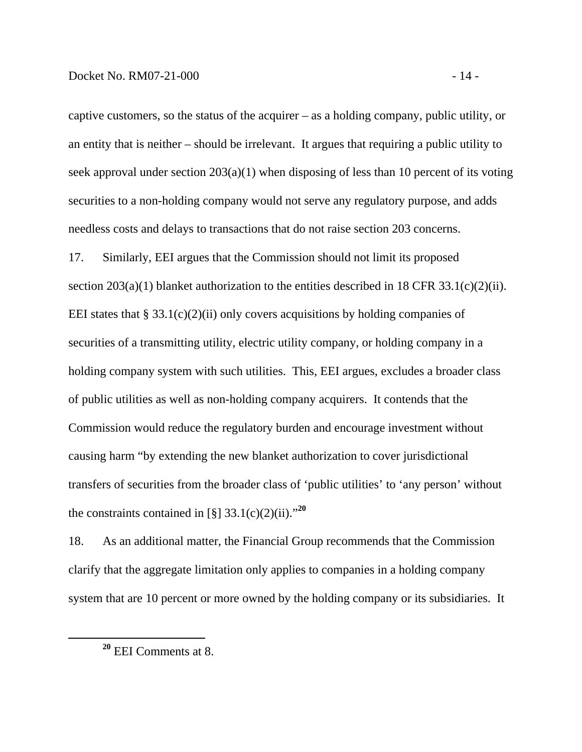captive customers, so the status of the acquirer – as a holding company, public utility, or an entity that is neither – should be irrelevant. It argues that requiring a public utility to seek approval under section 203(a)(1) when disposing of less than 10 percent of its voting securities to a non-holding company would not serve any regulatory purpose, and adds needless costs and delays to transactions that do not raise section 203 concerns.

17. Similarly, EEI argues that the Commission should not limit its proposed section  $203(a)(1)$  blanket authorization to the entities described in 18 CFR 33.1(c)(2)(ii). EEI states that § 33.1(c)(2)(ii) only covers acquisitions by holding companies of securities of a transmitting utility, electric utility company, or holding company in a holding company system with such utilities. This, EEI argues, excludes a broader class of public utilities as well as non-holding company acquirers. It contends that the Commission would reduce the regulatory burden and encourage investment without causing harm "by extending the new blanket authorization to cover jurisdictional transfers of securities from the broader class of 'public utilities' to 'any person' without the constraints contained in [§]  $33.1(c)(2)(ii)$ .<sup>20</sup>

18. As an additional matter, the Financial Group recommends that the Commission clarify that the aggregate limitation only applies to companies in a holding company system that are 10 percent or more owned by the holding company or its subsidiaries. It

**<sup>20</sup>** EEI Comments at 8.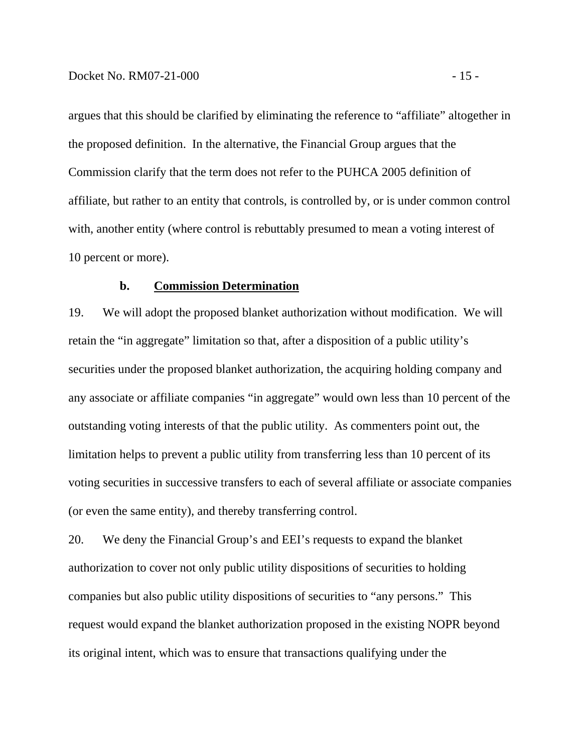argues that this should be clarified by eliminating the reference to "affiliate" altogether in the proposed definition. In the alternative, the Financial Group argues that the Commission clarify that the term does not refer to the PUHCA 2005 definition of affiliate, but rather to an entity that controls, is controlled by, or is under common control with, another entity (where control is rebuttably presumed to mean a voting interest of 10 percent or more).

#### **b. Commission Determination**

19. We will adopt the proposed blanket authorization without modification. We will retain the "in aggregate" limitation so that, after a disposition of a public utility's securities under the proposed blanket authorization, the acquiring holding company and any associate or affiliate companies "in aggregate" would own less than 10 percent of the outstanding voting interests of that the public utility. As commenters point out, the limitation helps to prevent a public utility from transferring less than 10 percent of its voting securities in successive transfers to each of several affiliate or associate companies (or even the same entity), and thereby transferring control.

20. We deny the Financial Group's and EEI's requests to expand the blanket authorization to cover not only public utility dispositions of securities to holding companies but also public utility dispositions of securities to "any persons." This request would expand the blanket authorization proposed in the existing NOPR beyond its original intent, which was to ensure that transactions qualifying under the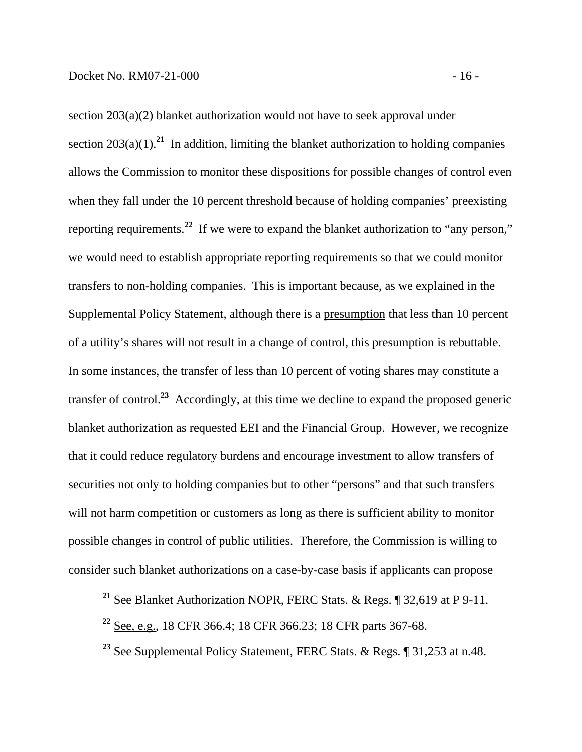section 203(a)(2) blanket authorization would not have to seek approval under section  $203(a)(1)$ <sup>21</sup>. In addition, limiting the blanket authorization to holding companies allows the Commission to monitor these dispositions for possible changes of control even when they fall under the 10 percent threshold because of holding companies' preexisting reporting requirements.**<sup>22</sup>** If we were to expand the blanket authorization to "any person," we would need to establish appropriate reporting requirements so that we could monitor transfers to non-holding companies. This is important because, as we explained in the Supplemental Policy Statement, although there is a presumption that less than 10 percent of a utility's shares will not result in a change of control, this presumption is rebuttable. In some instances, the transfer of less than 10 percent of voting shares may constitute a transfer of control.**<sup>23</sup>** Accordingly, at this time we decline to expand the proposed generic blanket authorization as requested EEI and the Financial Group. However, we recognize that it could reduce regulatory burdens and encourage investment to allow transfers of securities not only to holding companies but to other "persons" and that such transfers will not harm competition or customers as long as there is sufficient ability to monitor possible changes in control of public utilities. Therefore, the Commission is willing to consider such blanket authorizations on a case-by-case basis if applicants can propose

**<sup>21</sup>** See Blanket Authorization NOPR, FERC Stats. & Regs. ¶ 32,619 at P 9-11.

**<sup>22</sup>** See, e.g., 18 CFR 366.4; 18 CFR 366.23; 18 CFR parts 367-68.

**<sup>23</sup>** See Supplemental Policy Statement, FERC Stats. & Regs. ¶ 31,253 at n.48.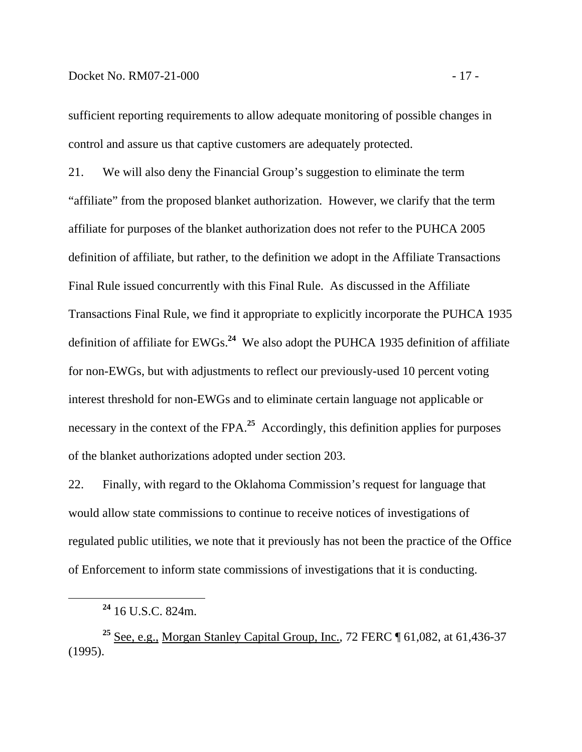sufficient reporting requirements to allow adequate monitoring of possible changes in control and assure us that captive customers are adequately protected.

21. We will also deny the Financial Group's suggestion to eliminate the term "affiliate" from the proposed blanket authorization. However, we clarify that the term affiliate for purposes of the blanket authorization does not refer to the PUHCA 2005 definition of affiliate, but rather, to the definition we adopt in the Affiliate Transactions Final Rule issued concurrently with this Final Rule. As discussed in the Affiliate Transactions Final Rule, we find it appropriate to explicitly incorporate the PUHCA 1935 definition of affiliate for EWGs.**<sup>24</sup>** We also adopt the PUHCA 1935 definition of affiliate for non-EWGs, but with adjustments to reflect our previously-used 10 percent voting interest threshold for non-EWGs and to eliminate certain language not applicable or necessary in the context of the FPA.<sup>25</sup> Accordingly, this definition applies for purposes of the blanket authorizations adopted under section 203.

22. Finally, with regard to the Oklahoma Commission's request for language that would allow state commissions to continue to receive notices of investigations of regulated public utilities, we note that it previously has not been the practice of the Office of Enforcement to inform state commissions of investigations that it is conducting.

**<sup>25</sup>** See, e.g., Morgan Stanley Capital Group, Inc., 72 FERC ¶ 61,082, at 61,436-37 (1995).

**<sup>24</sup>** 16 U.S.C. 824m.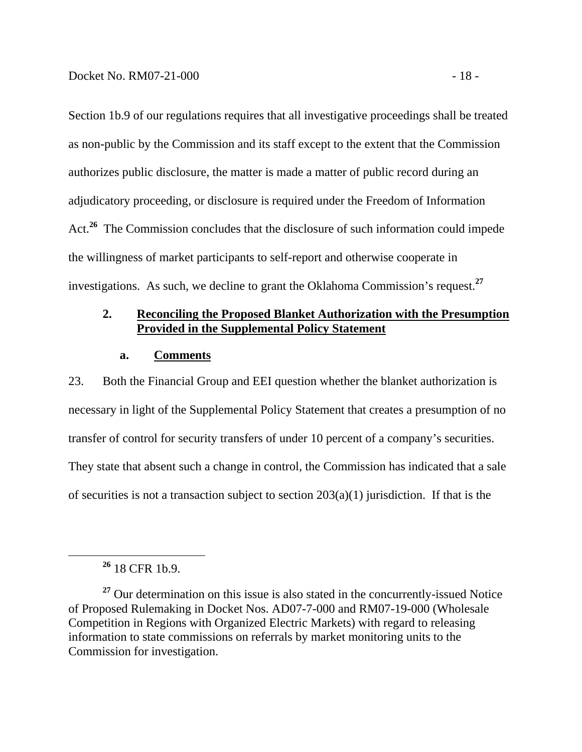Section 1b.9 of our regulations requires that all investigative proceedings shall be treated as non-public by the Commission and its staff except to the extent that the Commission authorizes public disclosure, the matter is made a matter of public record during an adjudicatory proceeding, or disclosure is required under the Freedom of Information Act.**<sup>26</sup>** The Commission concludes that the disclosure of such information could impede the willingness of market participants to self-report and otherwise cooperate in investigations. As such, we decline to grant the Oklahoma Commission's request.**<sup>27</sup>**

# **2. Reconciling the Proposed Blanket Authorization with the Presumption Provided in the Supplemental Policy Statement**

### **a. Comments**

23. Both the Financial Group and EEI question whether the blanket authorization is necessary in light of the Supplemental Policy Statement that creates a presumption of no transfer of control for security transfers of under 10 percent of a company's securities. They state that absent such a change in control, the Commission has indicated that a sale of securities is not a transaction subject to section  $203(a)(1)$  jurisdiction. If that is the

**<sup>26</sup>** 18 CFR 1b.9.

<sup>&</sup>lt;sup>27</sup> Our determination on this issue is also stated in the concurrently-issued Notice of Proposed Rulemaking in Docket Nos. AD07-7-000 and RM07-19-000 (Wholesale Competition in Regions with Organized Electric Markets) with regard to releasing information to state commissions on referrals by market monitoring units to the Commission for investigation.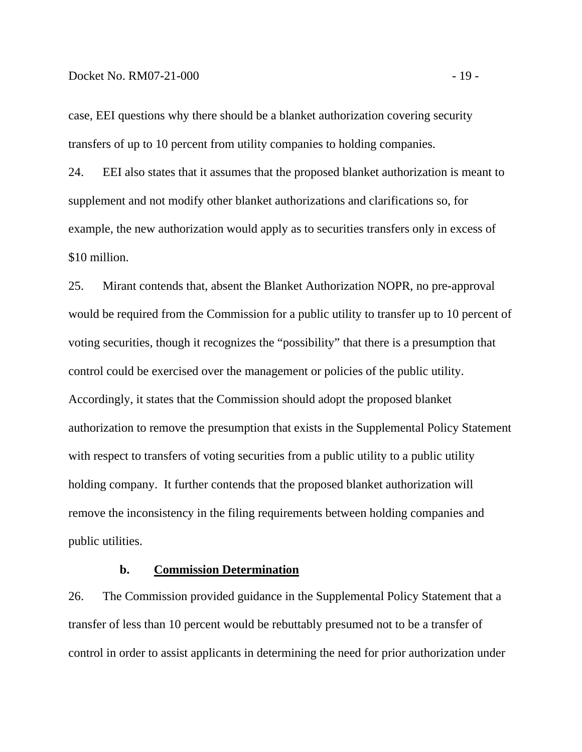case, EEI questions why there should be a blanket authorization covering security transfers of up to 10 percent from utility companies to holding companies.

24. EEI also states that it assumes that the proposed blanket authorization is meant to supplement and not modify other blanket authorizations and clarifications so, for example, the new authorization would apply as to securities transfers only in excess of \$10 million.

25. Mirant contends that, absent the Blanket Authorization NOPR, no pre-approval would be required from the Commission for a public utility to transfer up to 10 percent of voting securities, though it recognizes the "possibility" that there is a presumption that control could be exercised over the management or policies of the public utility. Accordingly, it states that the Commission should adopt the proposed blanket authorization to remove the presumption that exists in the Supplemental Policy Statement with respect to transfers of voting securities from a public utility to a public utility holding company. It further contends that the proposed blanket authorization will remove the inconsistency in the filing requirements between holding companies and public utilities.

# **b. Commission Determination**

26. The Commission provided guidance in the Supplemental Policy Statement that a transfer of less than 10 percent would be rebuttably presumed not to be a transfer of control in order to assist applicants in determining the need for prior authorization under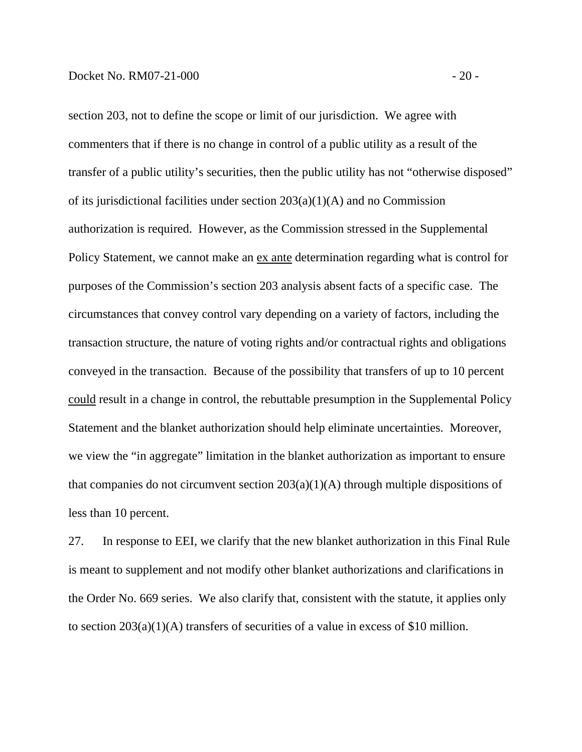section 203, not to define the scope or limit of our jurisdiction. We agree with commenters that if there is no change in control of a public utility as a result of the transfer of a public utility's securities, then the public utility has not "otherwise disposed" of its jurisdictional facilities under section  $203(a)(1)(A)$  and no Commission authorization is required. However, as the Commission stressed in the Supplemental Policy Statement, we cannot make an ex ante determination regarding what is control for purposes of the Commission's section 203 analysis absent facts of a specific case. The circumstances that convey control vary depending on a variety of factors, including the transaction structure, the nature of voting rights and/or contractual rights and obligations conveyed in the transaction. Because of the possibility that transfers of up to 10 percent could result in a change in control, the rebuttable presumption in the Supplemental Policy Statement and the blanket authorization should help eliminate uncertainties. Moreover, we view the "in aggregate" limitation in the blanket authorization as important to ensure that companies do not circumvent section  $203(a)(1)(A)$  through multiple dispositions of less than 10 percent.

27. In response to EEI, we clarify that the new blanket authorization in this Final Rule is meant to supplement and not modify other blanket authorizations and clarifications in the Order No. 669 series. We also clarify that, consistent with the statute, it applies only to section 203(a)(1)(A) transfers of securities of a value in excess of \$10 million.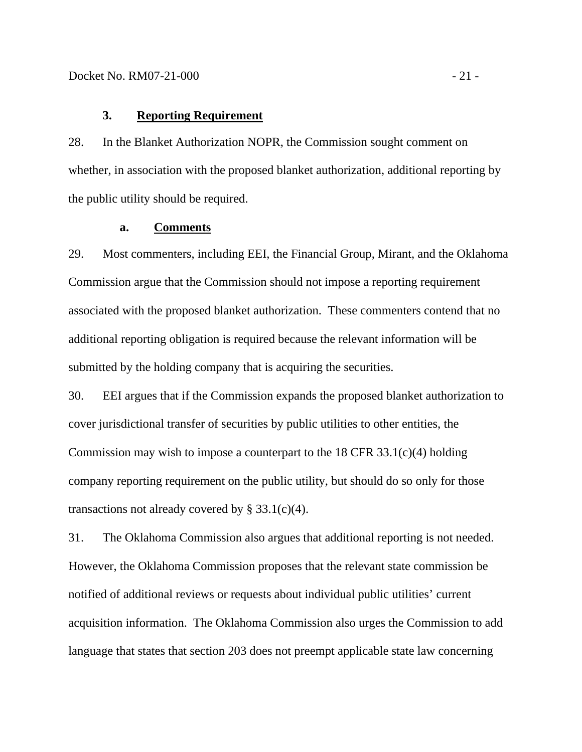### **3. Reporting Requirement**

28. In the Blanket Authorization NOPR, the Commission sought comment on whether, in association with the proposed blanket authorization, additional reporting by the public utility should be required.

#### **a. Comments**

29. Most commenters, including EEI, the Financial Group, Mirant, and the Oklahoma Commission argue that the Commission should not impose a reporting requirement associated with the proposed blanket authorization. These commenters contend that no additional reporting obligation is required because the relevant information will be submitted by the holding company that is acquiring the securities.

30. EEI argues that if the Commission expands the proposed blanket authorization to cover jurisdictional transfer of securities by public utilities to other entities, the Commission may wish to impose a counterpart to the  $18$  CFR 33.1(c)(4) holding company reporting requirement on the public utility, but should do so only for those transactions not already covered by  $\S 33.1(c)(4)$ .

31. The Oklahoma Commission also argues that additional reporting is not needed. However, the Oklahoma Commission proposes that the relevant state commission be notified of additional reviews or requests about individual public utilities' current acquisition information. The Oklahoma Commission also urges the Commission to add language that states that section 203 does not preempt applicable state law concerning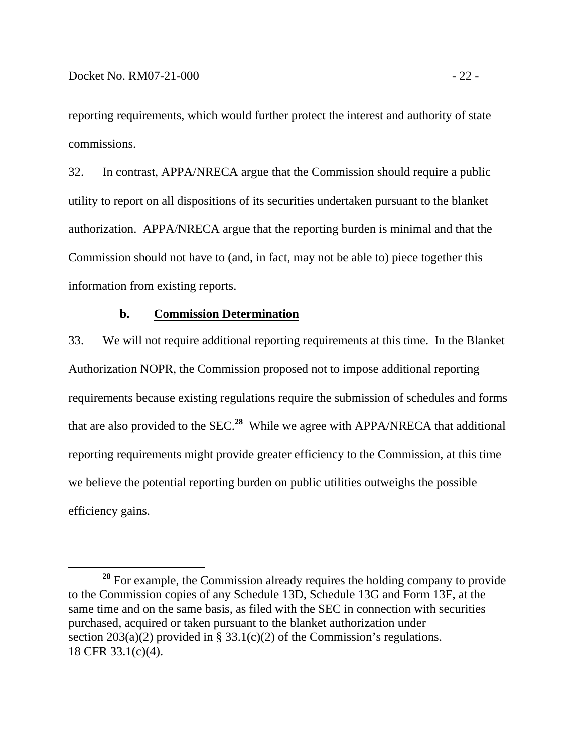reporting requirements, which would further protect the interest and authority of state commissions.

32. In contrast, APPA/NRECA argue that the Commission should require a public utility to report on all dispositions of its securities undertaken pursuant to the blanket authorization. APPA/NRECA argue that the reporting burden is minimal and that the Commission should not have to (and, in fact, may not be able to) piece together this information from existing reports.

### **b. Commission Determination**

33. We will not require additional reporting requirements at this time. In the Blanket Authorization NOPR, the Commission proposed not to impose additional reporting requirements because existing regulations require the submission of schedules and forms that are also provided to the SEC.**<sup>28</sup>** While we agree with APPA/NRECA that additional reporting requirements might provide greater efficiency to the Commission, at this time we believe the potential reporting burden on public utilities outweighs the possible efficiency gains.

**<sup>28</sup>** For example, the Commission already requires the holding company to provide to the Commission copies of any Schedule 13D, Schedule 13G and Form 13F, at the same time and on the same basis, as filed with the SEC in connection with securities purchased, acquired or taken pursuant to the blanket authorization under section 203(a)(2) provided in § 33.1(c)(2) of the Commission's regulations. 18 CFR 33.1(c)(4).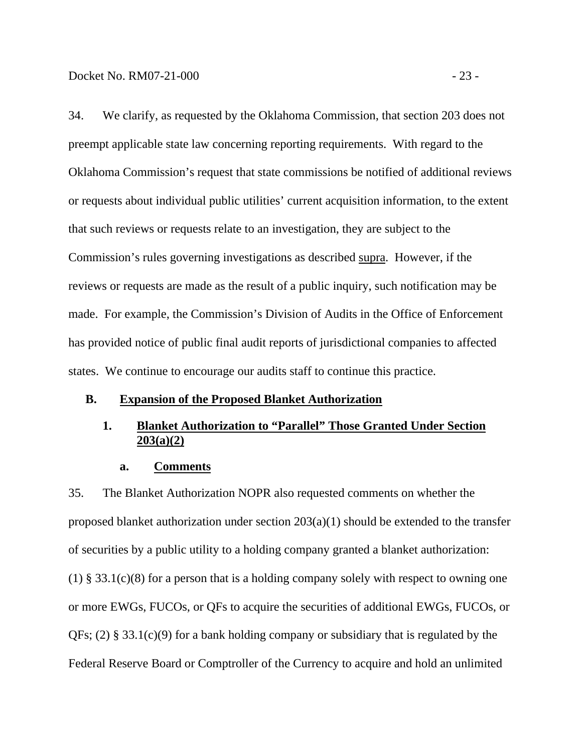34. We clarify, as requested by the Oklahoma Commission, that section 203 does not preempt applicable state law concerning reporting requirements. With regard to the Oklahoma Commission's request that state commissions be notified of additional reviews or requests about individual public utilities' current acquisition information, to the extent that such reviews or requests relate to an investigation, they are subject to the Commission's rules governing investigations as described supra. However, if the reviews or requests are made as the result of a public inquiry, such notification may be made. For example, the Commission's Division of Audits in the Office of Enforcement has provided notice of public final audit reports of jurisdictional companies to affected states. We continue to encourage our audits staff to continue this practice.

#### **B. Expansion of the Proposed Blanket Authorization**

# **1. Blanket Authorization to "Parallel" Those Granted Under Section 203(a)(2)**

#### **a. Comments**

35. The Blanket Authorization NOPR also requested comments on whether the proposed blanket authorization under section 203(a)(1) should be extended to the transfer of securities by a public utility to a holding company granted a blanket authorization: (1) § 33.1(c)(8) for a person that is a holding company solely with respect to owning one or more EWGs, FUCOs, or QFs to acquire the securities of additional EWGs, FUCOs, or QFs; (2) § 33.1(c)(9) for a bank holding company or subsidiary that is regulated by the Federal Reserve Board or Comptroller of the Currency to acquire and hold an unlimited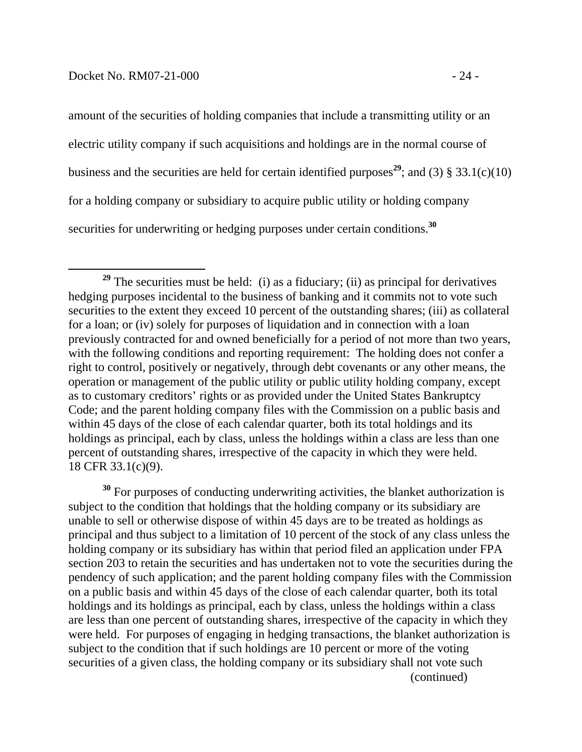amount of the securities of holding companies that include a transmitting utility or an electric utility company if such acquisitions and holdings are in the normal course of business and the securities are held for certain identified purposes<sup>29</sup>; and (3) § 33.1(c)(10) for a holding company or subsidiary to acquire public utility or holding company securities for underwriting or hedging purposes under certain conditions.**<sup>30</sup>**

**<sup>30</sup>** For purposes of conducting underwriting activities, the blanket authorization is subject to the condition that holdings that the holding company or its subsidiary are unable to sell or otherwise dispose of within 45 days are to be treated as holdings as principal and thus subject to a limitation of 10 percent of the stock of any class unless the holding company or its subsidiary has within that period filed an application under FPA section 203 to retain the securities and has undertaken not to vote the securities during the pendency of such application; and the parent holding company files with the Commission on a public basis and within 45 days of the close of each calendar quarter, both its total holdings and its holdings as principal, each by class, unless the holdings within a class are less than one percent of outstanding shares, irrespective of the capacity in which they were held. For purposes of engaging in hedging transactions, the blanket authorization is subject to the condition that if such holdings are 10 percent or more of the voting securities of a given class, the holding company or its subsidiary shall not vote such (continued)

<sup>&</sup>lt;sup>29</sup> The securities must be held: (i) as a fiduciary; (ii) as principal for derivatives hedging purposes incidental to the business of banking and it commits not to vote such securities to the extent they exceed 10 percent of the outstanding shares; (iii) as collateral for a loan; or (iv) solely for purposes of liquidation and in connection with a loan previously contracted for and owned beneficially for a period of not more than two years, with the following conditions and reporting requirement: The holding does not confer a right to control, positively or negatively, through debt covenants or any other means, the operation or management of the public utility or public utility holding company, except as to customary creditors' rights or as provided under the United States Bankruptcy Code; and the parent holding company files with the Commission on a public basis and within 45 days of the close of each calendar quarter, both its total holdings and its holdings as principal, each by class, unless the holdings within a class are less than one percent of outstanding shares, irrespective of the capacity in which they were held.  $18$  CFR 33.1(c)(9).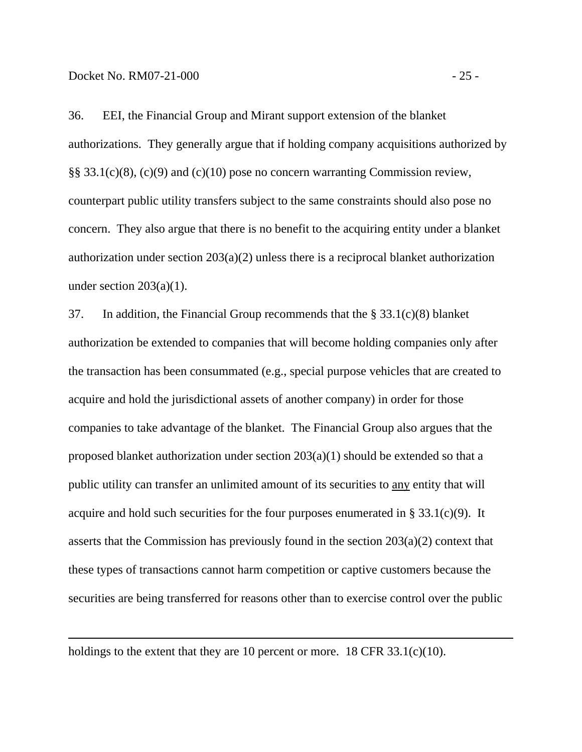$\overline{a}$ 

36. EEI, the Financial Group and Mirant support extension of the blanket authorizations. They generally argue that if holding company acquisitions authorized by §§ 33.1(c)(8), (c)(9) and (c)(10) pose no concern warranting Commission review, counterpart public utility transfers subject to the same constraints should also pose no concern. They also argue that there is no benefit to the acquiring entity under a blanket authorization under section 203(a)(2) unless there is a reciprocal blanket authorization under section  $203(a)(1)$ .

37. In addition, the Financial Group recommends that the § 33.1(c)(8) blanket authorization be extended to companies that will become holding companies only after the transaction has been consummated (e.g., special purpose vehicles that are created to acquire and hold the jurisdictional assets of another company) in order for those companies to take advantage of the blanket. The Financial Group also argues that the proposed blanket authorization under section  $203(a)(1)$  should be extended so that a public utility can transfer an unlimited amount of its securities to any entity that will acquire and hold such securities for the four purposes enumerated in § 33.1(c)(9). It asserts that the Commission has previously found in the section 203(a)(2) context that these types of transactions cannot harm competition or captive customers because the securities are being transferred for reasons other than to exercise control over the public

holdings to the extent that they are 10 percent or more. 18 CFR  $33.1(c)(10)$ .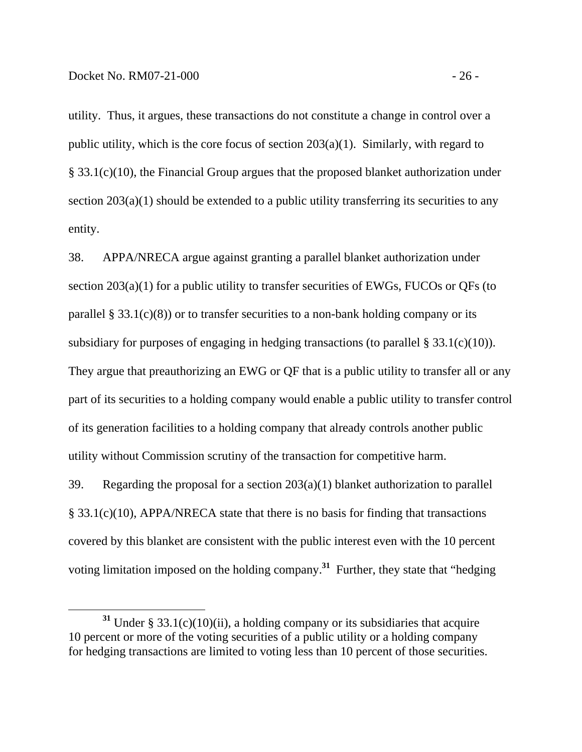utility. Thus, it argues, these transactions do not constitute a change in control over a public utility, which is the core focus of section 203(a)(1). Similarly, with regard to § 33.1(c)(10), the Financial Group argues that the proposed blanket authorization under section  $203(a)(1)$  should be extended to a public utility transferring its securities to any entity.

38. APPA/NRECA argue against granting a parallel blanket authorization under section 203(a)(1) for a public utility to transfer securities of EWGs, FUCOs or QFs (to parallel § 33.1(c)(8)) or to transfer securities to a non-bank holding company or its subsidiary for purposes of engaging in hedging transactions (to parallel  $\S 33.1(c)(10)$ ). They argue that preauthorizing an EWG or QF that is a public utility to transfer all or any part of its securities to a holding company would enable a public utility to transfer control of its generation facilities to a holding company that already controls another public utility without Commission scrutiny of the transaction for competitive harm.

39. Regarding the proposal for a section 203(a)(1) blanket authorization to parallel § 33.1(c)(10), APPA/NRECA state that there is no basis for finding that transactions covered by this blanket are consistent with the public interest even with the 10 percent voting limitation imposed on the holding company.**<sup>31</sup>** Further, they state that "hedging

**<sup>31</sup>** Under § 33.1(c)(10)(ii), a holding company or its subsidiaries that acquire 10 percent or more of the voting securities of a public utility or a holding company for hedging transactions are limited to voting less than 10 percent of those securities.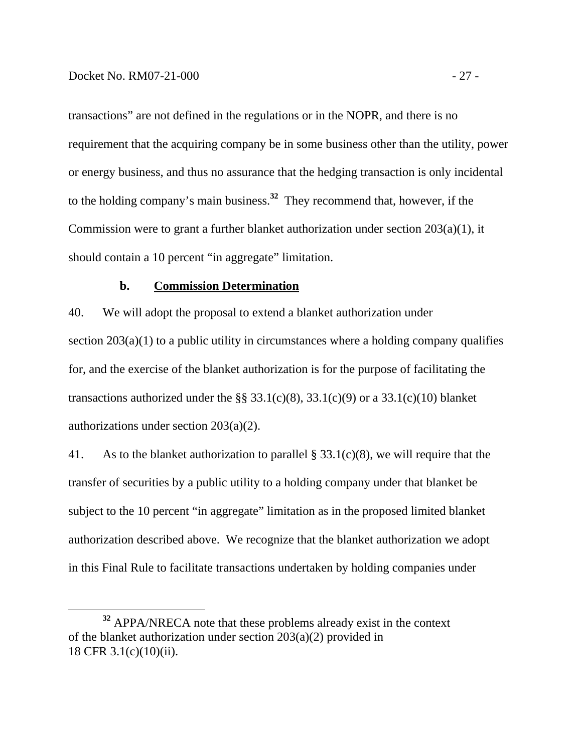transactions" are not defined in the regulations or in the NOPR, and there is no requirement that the acquiring company be in some business other than the utility, power or energy business, and thus no assurance that the hedging transaction is only incidental to the holding company's main business.**<sup>32</sup>** They recommend that, however, if the Commission were to grant a further blanket authorization under section 203(a)(1), it should contain a 10 percent "in aggregate" limitation.

#### **b. Commission Determination**

40. We will adopt the proposal to extend a blanket authorization under section  $203(a)(1)$  to a public utility in circumstances where a holding company qualifies for, and the exercise of the blanket authorization is for the purpose of facilitating the transactions authorized under the §§ 33.1(c)(8), 33.1(c)(9) or a 33.1(c)(10) blanket authorizations under section 203(a)(2).

41. As to the blanket authorization to parallel  $\S$  33.1(c)(8), we will require that the transfer of securities by a public utility to a holding company under that blanket be subject to the 10 percent "in aggregate" limitation as in the proposed limited blanket authorization described above. We recognize that the blanket authorization we adopt in this Final Rule to facilitate transactions undertaken by holding companies under

**<sup>32</sup>** APPA/NRECA note that these problems already exist in the context of the blanket authorization under section 203(a)(2) provided in 18 CFR 3.1(c)(10)(ii).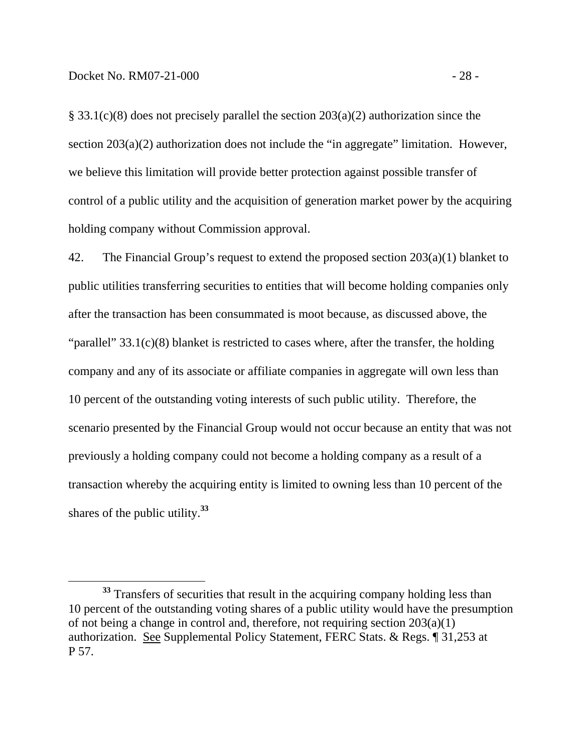§ 33.1(c)(8) does not precisely parallel the section 203(a)(2) authorization since the section 203(a)(2) authorization does not include the "in aggregate" limitation. However, we believe this limitation will provide better protection against possible transfer of control of a public utility and the acquisition of generation market power by the acquiring holding company without Commission approval.

42. The Financial Group's request to extend the proposed section 203(a)(1) blanket to public utilities transferring securities to entities that will become holding companies only after the transaction has been consummated is moot because, as discussed above, the "parallel" 33.1(c)(8) blanket is restricted to cases where, after the transfer, the holding company and any of its associate or affiliate companies in aggregate will own less than 10 percent of the outstanding voting interests of such public utility. Therefore, the scenario presented by the Financial Group would not occur because an entity that was not previously a holding company could not become a holding company as a result of a transaction whereby the acquiring entity is limited to owning less than 10 percent of the shares of the public utility.**<sup>33</sup>**

<sup>&</sup>lt;sup>33</sup> Transfers of securities that result in the acquiring company holding less than 10 percent of the outstanding voting shares of a public utility would have the presumption of not being a change in control and, therefore, not requiring section 203(a)(1) authorization. See Supplemental Policy Statement, FERC Stats. & Regs. ¶ 31,253 at P 57.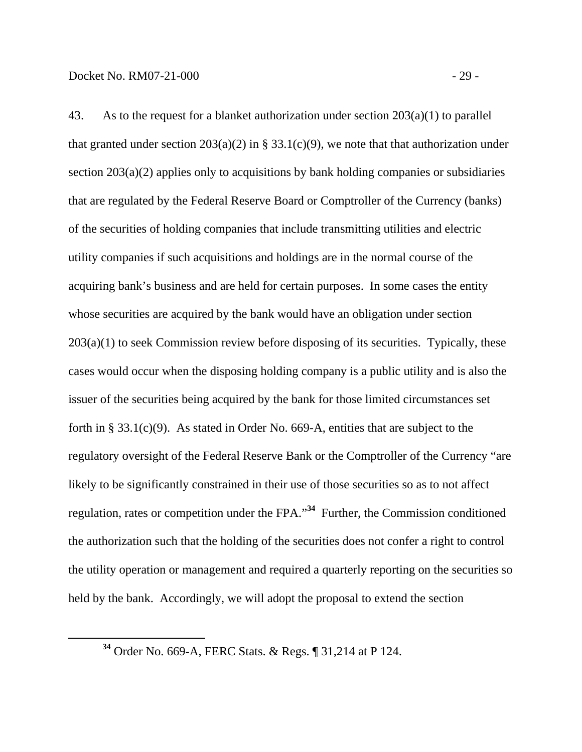43. As to the request for a blanket authorization under section 203(a)(1) to parallel that granted under section  $203(a)(2)$  in § 33.1(c)(9), we note that that authorization under section 203(a)(2) applies only to acquisitions by bank holding companies or subsidiaries that are regulated by the Federal Reserve Board or Comptroller of the Currency (banks) of the securities of holding companies that include transmitting utilities and electric utility companies if such acquisitions and holdings are in the normal course of the acquiring bank's business and are held for certain purposes. In some cases the entity whose securities are acquired by the bank would have an obligation under section  $203(a)(1)$  to seek Commission review before disposing of its securities. Typically, these cases would occur when the disposing holding company is a public utility and is also the issuer of the securities being acquired by the bank for those limited circumstances set forth in § 33.1(c)(9). As stated in Order No. 669-A, entities that are subject to the regulatory oversight of the Federal Reserve Bank or the Comptroller of the Currency "are likely to be significantly constrained in their use of those securities so as to not affect regulation, rates or competition under the FPA."**<sup>34</sup>** Further, the Commission conditioned the authorization such that the holding of the securities does not confer a right to control the utility operation or management and required a quarterly reporting on the securities so

held by the bank. Accordingly, we will adopt the proposal to extend the section

**<sup>34</sup>** Order No. 669-A, FERC Stats. & Regs. ¶ 31,214 at P 124.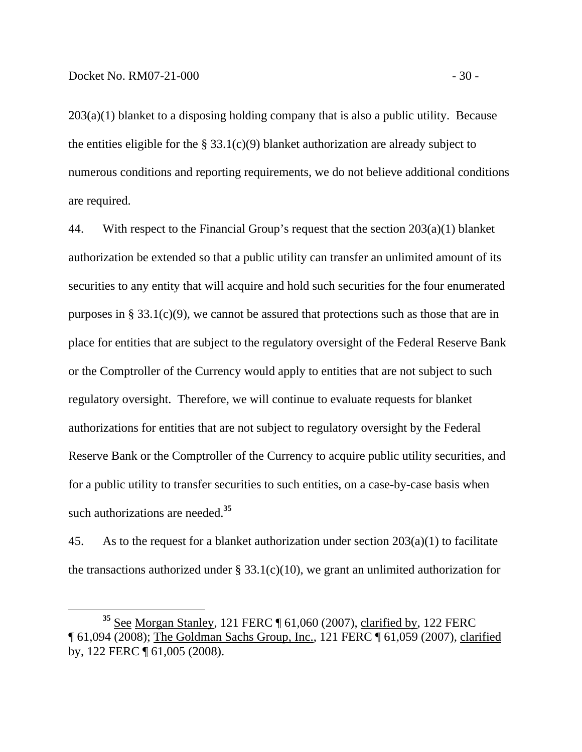$203(a)(1)$  blanket to a disposing holding company that is also a public utility. Because the entities eligible for the  $\S 33.1(c)(9)$  blanket authorization are already subject to numerous conditions and reporting requirements, we do not believe additional conditions are required.

44. With respect to the Financial Group's request that the section 203(a)(1) blanket authorization be extended so that a public utility can transfer an unlimited amount of its securities to any entity that will acquire and hold such securities for the four enumerated purposes in § 33.1(c)(9), we cannot be assured that protections such as those that are in place for entities that are subject to the regulatory oversight of the Federal Reserve Bank or the Comptroller of the Currency would apply to entities that are not subject to such regulatory oversight. Therefore, we will continue to evaluate requests for blanket authorizations for entities that are not subject to regulatory oversight by the Federal Reserve Bank or the Comptroller of the Currency to acquire public utility securities, and for a public utility to transfer securities to such entities, on a case-by-case basis when such authorizations are needed.**<sup>35</sup>**

45. As to the request for a blanket authorization under section 203(a)(1) to facilitate the transactions authorized under  $\S 33.1(c)(10)$ , we grant an unlimited authorization for

**<sup>35</sup>** See Morgan Stanley, 121 FERC ¶ 61,060 (2007), clarified by, 122 FERC ¶ 61,094 (2008); The Goldman Sachs Group, Inc., 121 FERC ¶ 61,059 (2007), clarified by, 122 FERC ¶ 61,005 (2008).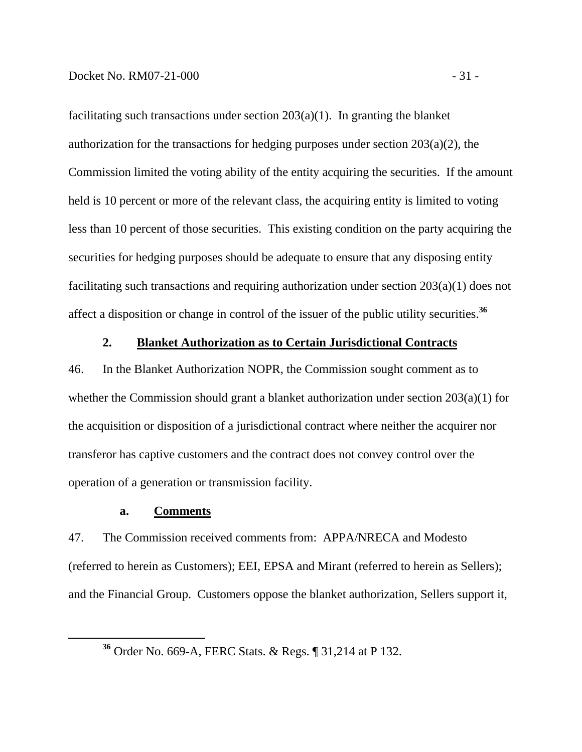facilitating such transactions under section  $203(a)(1)$ . In granting the blanket authorization for the transactions for hedging purposes under section 203(a)(2), the Commission limited the voting ability of the entity acquiring the securities. If the amount held is 10 percent or more of the relevant class, the acquiring entity is limited to voting less than 10 percent of those securities. This existing condition on the party acquiring the securities for hedging purposes should be adequate to ensure that any disposing entity facilitating such transactions and requiring authorization under section 203(a)(1) does not affect a disposition or change in control of the issuer of the public utility securities.**<sup>36</sup>**

#### **2. Blanket Authorization as to Certain Jurisdictional Contracts**

46. In the Blanket Authorization NOPR, the Commission sought comment as to whether the Commission should grant a blanket authorization under section 203(a)(1) for the acquisition or disposition of a jurisdictional contract where neither the acquirer nor transferor has captive customers and the contract does not convey control over the operation of a generation or transmission facility.

#### **a. Comments**

47. The Commission received comments from: APPA/NRECA and Modesto (referred to herein as Customers); EEI, EPSA and Mirant (referred to herein as Sellers); and the Financial Group. Customers oppose the blanket authorization, Sellers support it,

**<sup>36</sup>** Order No. 669-A, FERC Stats. & Regs. ¶ 31,214 at P 132.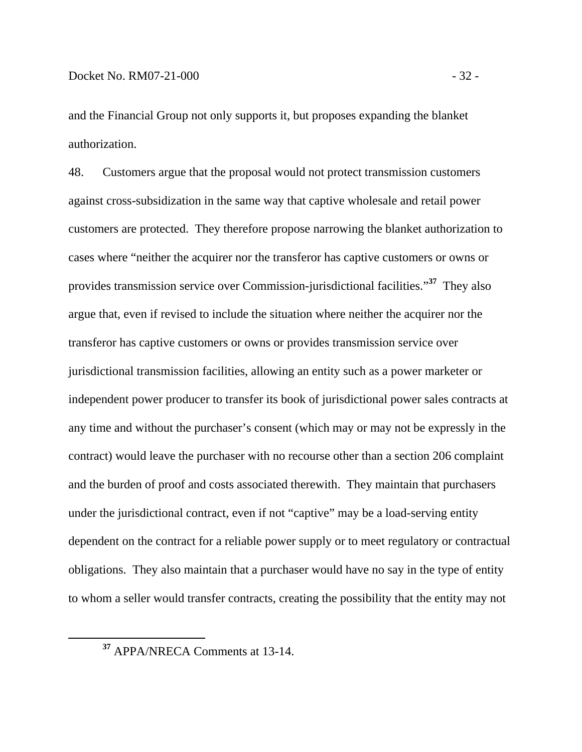and the Financial Group not only supports it, but proposes expanding the blanket authorization.

48. Customers argue that the proposal would not protect transmission customers against cross-subsidization in the same way that captive wholesale and retail power customers are protected. They therefore propose narrowing the blanket authorization to cases where "neither the acquirer nor the transferor has captive customers or owns or provides transmission service over Commission-jurisdictional facilities."**<sup>37</sup>** They also argue that, even if revised to include the situation where neither the acquirer nor the transferor has captive customers or owns or provides transmission service over jurisdictional transmission facilities, allowing an entity such as a power marketer or independent power producer to transfer its book of jurisdictional power sales contracts at any time and without the purchaser's consent (which may or may not be expressly in the contract) would leave the purchaser with no recourse other than a section 206 complaint and the burden of proof and costs associated therewith. They maintain that purchasers under the jurisdictional contract, even if not "captive" may be a load-serving entity dependent on the contract for a reliable power supply or to meet regulatory or contractual obligations. They also maintain that a purchaser would have no say in the type of entity to whom a seller would transfer contracts, creating the possibility that the entity may not

**<sup>37</sup>** APPA/NRECA Comments at 13-14.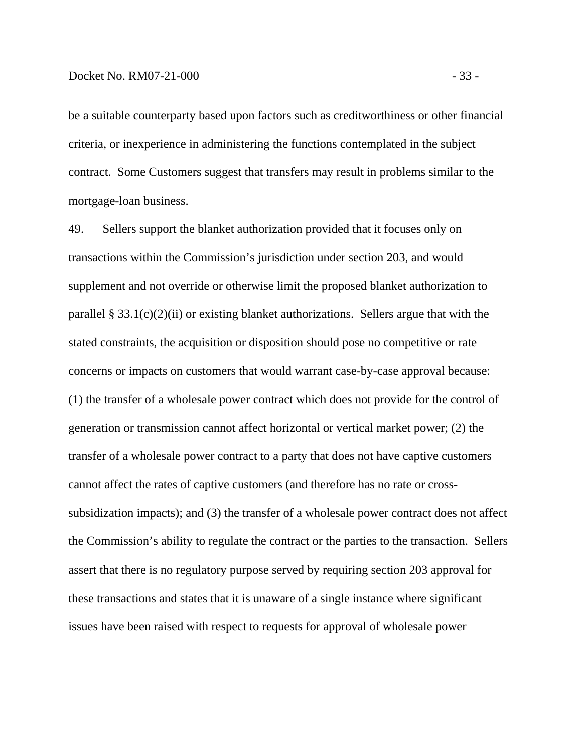be a suitable counterparty based upon factors such as creditworthiness or other financial criteria, or inexperience in administering the functions contemplated in the subject contract. Some Customers suggest that transfers may result in problems similar to the mortgage-loan business.

49. Sellers support the blanket authorization provided that it focuses only on transactions within the Commission's jurisdiction under section 203, and would supplement and not override or otherwise limit the proposed blanket authorization to parallel § 33.1(c)(2)(ii) or existing blanket authorizations. Sellers argue that with the stated constraints, the acquisition or disposition should pose no competitive or rate concerns or impacts on customers that would warrant case-by-case approval because: (1) the transfer of a wholesale power contract which does not provide for the control of generation or transmission cannot affect horizontal or vertical market power; (2) the transfer of a wholesale power contract to a party that does not have captive customers cannot affect the rates of captive customers (and therefore has no rate or crosssubsidization impacts); and (3) the transfer of a wholesale power contract does not affect the Commission's ability to regulate the contract or the parties to the transaction. Sellers assert that there is no regulatory purpose served by requiring section 203 approval for these transactions and states that it is unaware of a single instance where significant issues have been raised with respect to requests for approval of wholesale power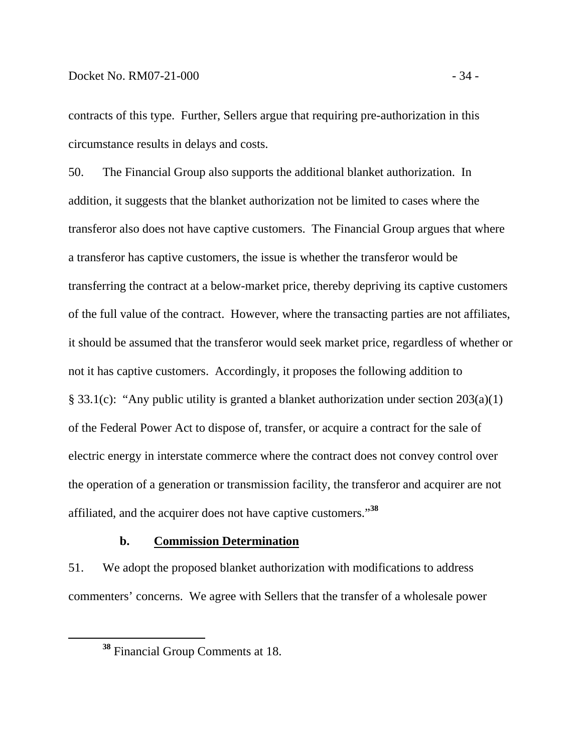contracts of this type. Further, Sellers argue that requiring pre-authorization in this circumstance results in delays and costs.

50. The Financial Group also supports the additional blanket authorization. In addition, it suggests that the blanket authorization not be limited to cases where the transferor also does not have captive customers. The Financial Group argues that where a transferor has captive customers, the issue is whether the transferor would be transferring the contract at a below-market price, thereby depriving its captive customers of the full value of the contract. However, where the transacting parties are not affiliates, it should be assumed that the transferor would seek market price, regardless of whether or not it has captive customers. Accordingly, it proposes the following addition to § 33.1(c): "Any public utility is granted a blanket authorization under section 203(a)(1) of the Federal Power Act to dispose of, transfer, or acquire a contract for the sale of electric energy in interstate commerce where the contract does not convey control over the operation of a generation or transmission facility, the transferor and acquirer are not affiliated, and the acquirer does not have captive customers."**<sup>38</sup>**

### **b. Commission Determination**

51. We adopt the proposed blanket authorization with modifications to address commenters' concerns. We agree with Sellers that the transfer of a wholesale power

**<sup>38</sup>** Financial Group Comments at 18.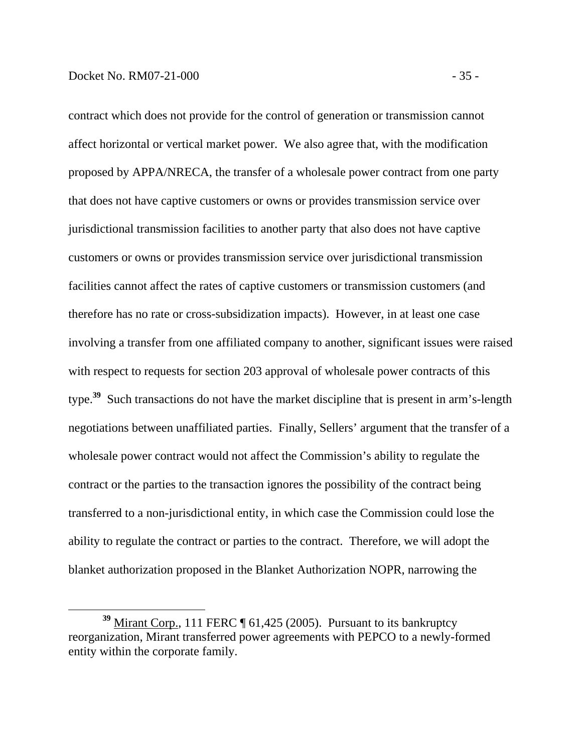contract which does not provide for the control of generation or transmission cannot affect horizontal or vertical market power. We also agree that, with the modification proposed by APPA/NRECA, the transfer of a wholesale power contract from one party that does not have captive customers or owns or provides transmission service over jurisdictional transmission facilities to another party that also does not have captive customers or owns or provides transmission service over jurisdictional transmission facilities cannot affect the rates of captive customers or transmission customers (and therefore has no rate or cross-subsidization impacts). However, in at least one case involving a transfer from one affiliated company to another, significant issues were raised with respect to requests for section 203 approval of wholesale power contracts of this type.**<sup>39</sup>** Such transactions do not have the market discipline that is present in arm's-length negotiations between unaffiliated parties. Finally, Sellers' argument that the transfer of a wholesale power contract would not affect the Commission's ability to regulate the contract or the parties to the transaction ignores the possibility of the contract being

transferred to a non-jurisdictional entity, in which case the Commission could lose the ability to regulate the contract or parties to the contract. Therefore, we will adopt the blanket authorization proposed in the Blanket Authorization NOPR, narrowing the

**<sup>39</sup>** Mirant Corp., 111 FERC ¶ 61,425 (2005). Pursuant to its bankruptcy reorganization, Mirant transferred power agreements with PEPCO to a newly-formed entity within the corporate family.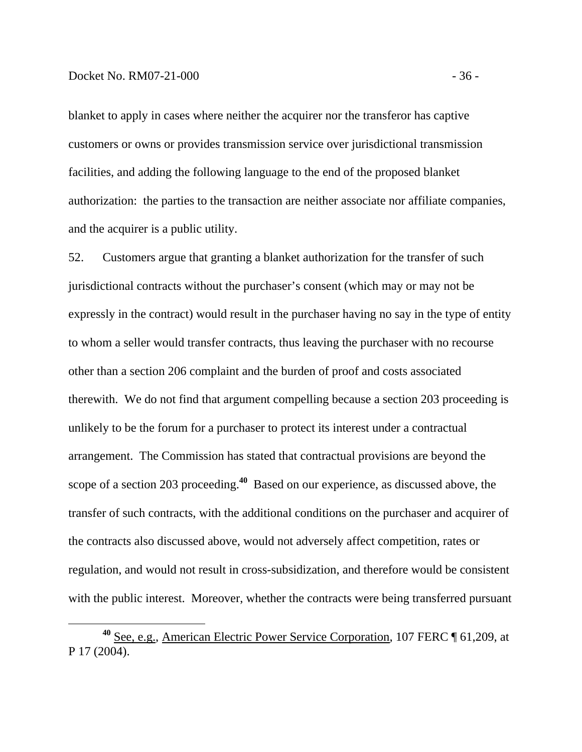blanket to apply in cases where neither the acquirer nor the transferor has captive customers or owns or provides transmission service over jurisdictional transmission facilities, and adding the following language to the end of the proposed blanket authorization: the parties to the transaction are neither associate nor affiliate companies, and the acquirer is a public utility.

52. Customers argue that granting a blanket authorization for the transfer of such jurisdictional contracts without the purchaser's consent (which may or may not be expressly in the contract) would result in the purchaser having no say in the type of entity to whom a seller would transfer contracts, thus leaving the purchaser with no recourse other than a section 206 complaint and the burden of proof and costs associated therewith. We do not find that argument compelling because a section 203 proceeding is unlikely to be the forum for a purchaser to protect its interest under a contractual arrangement. The Commission has stated that contractual provisions are beyond the scope of a section 203 proceeding.**<sup>40</sup>** Based on our experience, as discussed above, the transfer of such contracts, with the additional conditions on the purchaser and acquirer of the contracts also discussed above, would not adversely affect competition, rates or regulation, and would not result in cross-subsidization, and therefore would be consistent with the public interest. Moreover, whether the contracts were being transferred pursuant

**<sup>40</sup>** See, e.g., American Electric Power Service Corporation, 107 FERC ¶ 61,209, at P 17 (2004).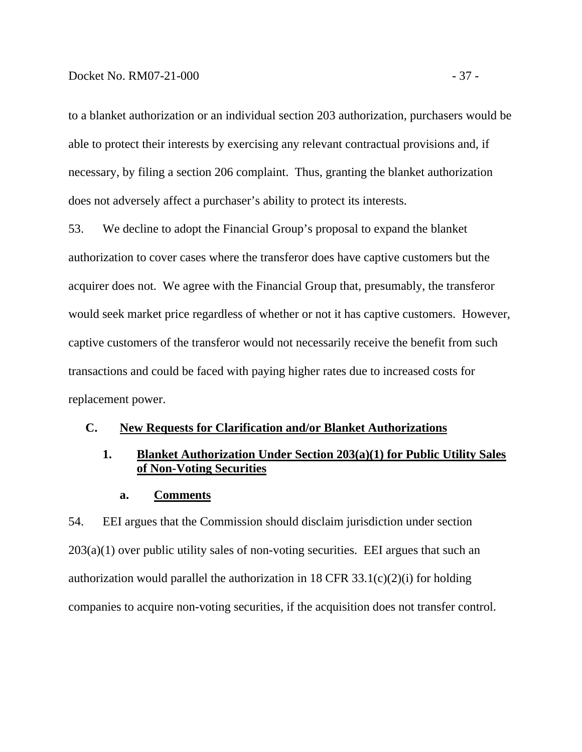### Docket No. RM07-21-000 - 37 -

to a blanket authorization or an individual section 203 authorization, purchasers would be able to protect their interests by exercising any relevant contractual provisions and, if necessary, by filing a section 206 complaint. Thus, granting the blanket authorization does not adversely affect a purchaser's ability to protect its interests.

53. We decline to adopt the Financial Group's proposal to expand the blanket authorization to cover cases where the transferor does have captive customers but the acquirer does not. We agree with the Financial Group that, presumably, the transferor would seek market price regardless of whether or not it has captive customers. However, captive customers of the transferor would not necessarily receive the benefit from such transactions and could be faced with paying higher rates due to increased costs for replacement power.

### **C. New Requests for Clarification and/or Blanket Authorizations**

# **1. Blanket Authorization Under Section 203(a)(1) for Public Utility Sales of Non-Voting Securities**

#### **a. Comments**

54. EEI argues that the Commission should disclaim jurisdiction under section  $203(a)(1)$  over public utility sales of non-voting securities. EEI argues that such an authorization would parallel the authorization in 18 CFR  $33.1(c)(2)(i)$  for holding companies to acquire non-voting securities, if the acquisition does not transfer control.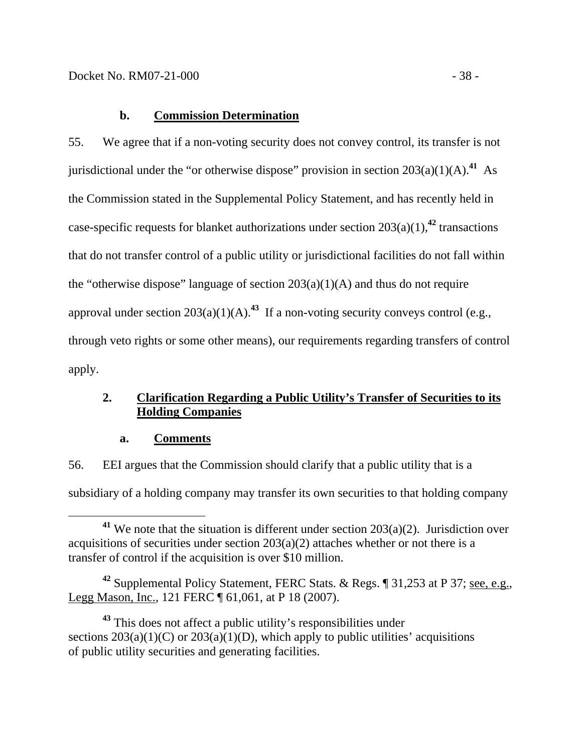55. We agree that if a non-voting security does not convey control, its transfer is not jurisdictional under the "or otherwise dispose" provision in section  $203(a)(1)(A)$ .<sup>41</sup> As the Commission stated in the Supplemental Policy Statement, and has recently held in case-specific requests for blanket authorizations under section  $203(a)(1)$ ,<sup>42</sup> transactions that do not transfer control of a public utility or jurisdictional facilities do not fall within the "otherwise dispose" language of section  $203(a)(1)(A)$  and thus do not require approval under section  $203(a)(1)(A)$ <sup>43</sup> If a non-voting security conveys control (e.g., through veto rights or some other means), our requirements regarding transfers of control apply.

# **2. Clarification Regarding a Public Utility's Transfer of Securities to its Holding Companies**

**a. Comments**

56. EEI argues that the Commission should clarify that a public utility that is a subsidiary of a holding company may transfer its own securities to that holding company

**<sup>42</sup>** Supplemental Policy Statement, FERC Stats. & Regs. ¶ 31,253 at P 37; see, e.g., Legg Mason, Inc., 121 FERC ¶ 61,061, at P 18 (2007).

**<sup>43</sup>** This does not affect a public utility's responsibilities under sections  $203(a)(1)(C)$  or  $203(a)(1)(D)$ , which apply to public utilities' acquisitions of public utility securities and generating facilities.

**<sup>41</sup>** We note that the situation is different under section 203(a)(2). Jurisdiction over acquisitions of securities under section  $203(a)(2)$  attaches whether or not there is a transfer of control if the acquisition is over \$10 million.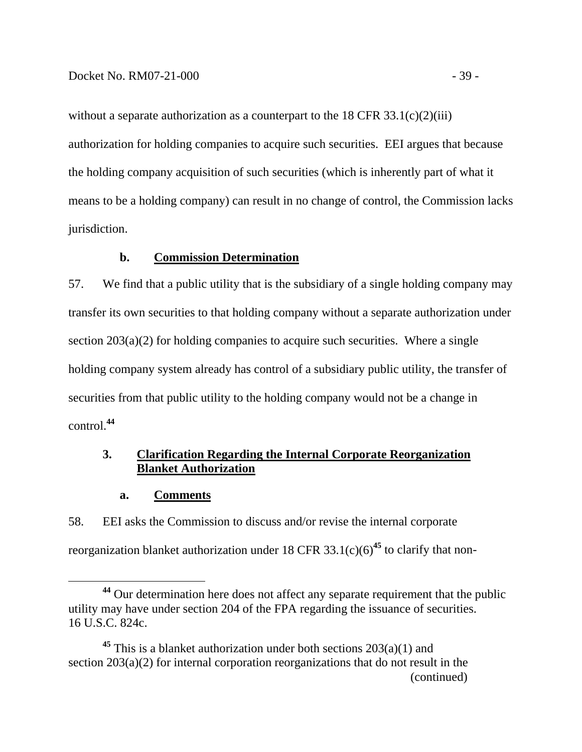without a separate authorization as a counterpart to the  $18 \text{ CFR } 33.1(c)(2)(iii)$ authorization for holding companies to acquire such securities. EEI argues that because the holding company acquisition of such securities (which is inherently part of what it means to be a holding company) can result in no change of control, the Commission lacks jurisdiction.

### **b. Commission Determination**

57. We find that a public utility that is the subsidiary of a single holding company may transfer its own securities to that holding company without a separate authorization under section 203(a)(2) for holding companies to acquire such securities. Where a single holding company system already has control of a subsidiary public utility, the transfer of securities from that public utility to the holding company would not be a change in control.**<sup>44</sup>**

# **3. Clarification Regarding the Internal Corporate Reorganization Blanket Authorization**

#### **a. Comments**

58. EEI asks the Commission to discuss and/or revise the internal corporate reorganization blanket authorization under 18 CFR  $33.1(c)(6)^{45}$  to clarify that non-

**<sup>44</sup>** Our determination here does not affect any separate requirement that the public utility may have under section 204 of the FPA regarding the issuance of securities. 16 U.S.C. 824c.

<sup>&</sup>lt;sup>45</sup> This is a blanket authorization under both sections  $203(a)(1)$  and section 203(a)(2) for internal corporation reorganizations that do not result in the (continued)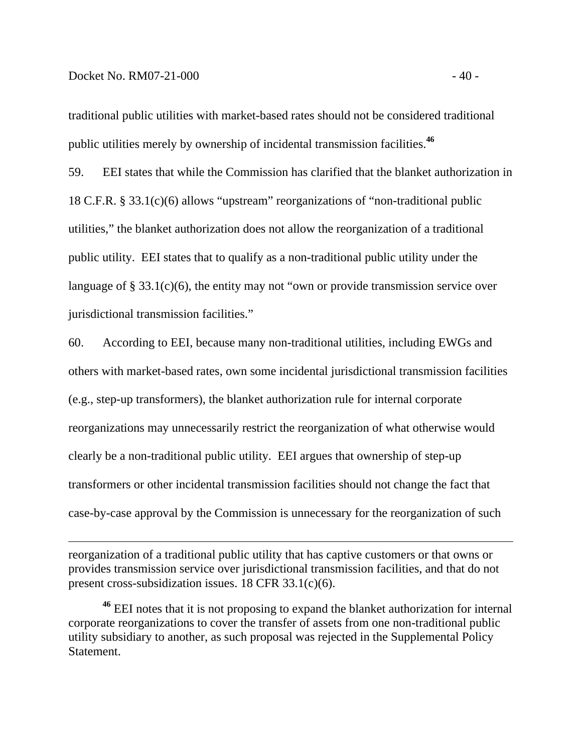$\overline{a}$ 

traditional public utilities with market-based rates should not be considered traditional public utilities merely by ownership of incidental transmission facilities.**<sup>46</sup>**

59. EEI states that while the Commission has clarified that the blanket authorization in 18 C.F.R. § 33.1(c)(6) allows "upstream" reorganizations of "non-traditional public utilities," the blanket authorization does not allow the reorganization of a traditional public utility. EEI states that to qualify as a non-traditional public utility under the language of § 33.1(c)(6), the entity may not "own or provide transmission service over jurisdictional transmission facilities."

60. According to EEI, because many non-traditional utilities, including EWGs and others with market-based rates, own some incidental jurisdictional transmission facilities (e.g., step-up transformers), the blanket authorization rule for internal corporate reorganizations may unnecessarily restrict the reorganization of what otherwise would clearly be a non-traditional public utility. EEI argues that ownership of step-up transformers or other incidental transmission facilities should not change the fact that case-by-case approval by the Commission is unnecessary for the reorganization of such

reorganization of a traditional public utility that has captive customers or that owns or provides transmission service over jurisdictional transmission facilities, and that do not present cross-subsidization issues. 18 CFR 33.1(c)(6).

**<sup>46</sup>** EEI notes that it is not proposing to expand the blanket authorization for internal corporate reorganizations to cover the transfer of assets from one non-traditional public utility subsidiary to another, as such proposal was rejected in the Supplemental Policy Statement.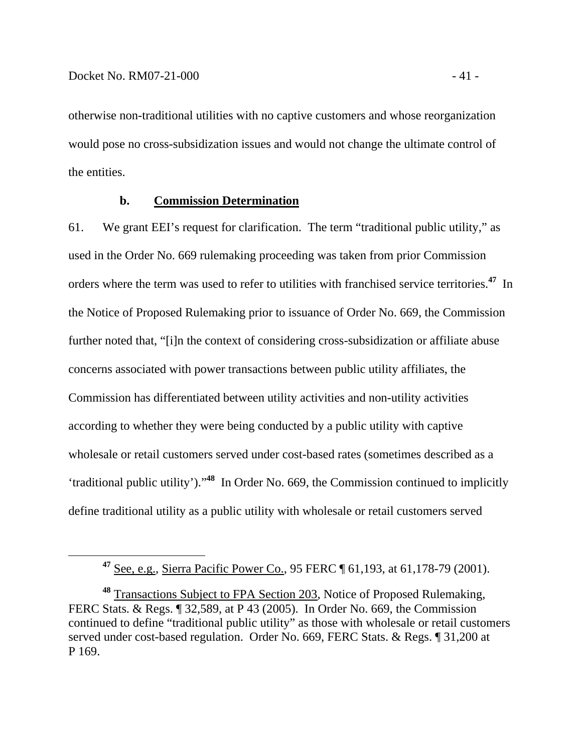otherwise non-traditional utilities with no captive customers and whose reorganization would pose no cross-subsidization issues and would not change the ultimate control of the entities.

### **b. Commission Determination**

61. We grant EEI's request for clarification. The term "traditional public utility," as used in the Order No. 669 rulemaking proceeding was taken from prior Commission orders where the term was used to refer to utilities with franchised service territories.**<sup>47</sup>** In the Notice of Proposed Rulemaking prior to issuance of Order No. 669, the Commission further noted that, "[i]n the context of considering cross-subsidization or affiliate abuse concerns associated with power transactions between public utility affiliates, the Commission has differentiated between utility activities and non-utility activities according to whether they were being conducted by a public utility with captive wholesale or retail customers served under cost-based rates (sometimes described as a 'traditional public utility')."**<sup>48</sup>** In Order No. 669, the Commission continued to implicitly define traditional utility as a public utility with wholesale or retail customers served

**<sup>47</sup>** See, e.g., Sierra Pacific Power Co., 95 FERC ¶ 61,193, at 61,178-79 (2001).

**<sup>48</sup>** Transactions Subject to FPA Section 203, Notice of Proposed Rulemaking, FERC Stats. & Regs. ¶ 32,589, at P 43 (2005). In Order No. 669, the Commission continued to define "traditional public utility" as those with wholesale or retail customers served under cost-based regulation. Order No. 669, FERC Stats. & Regs. ¶ 31,200 at P 169.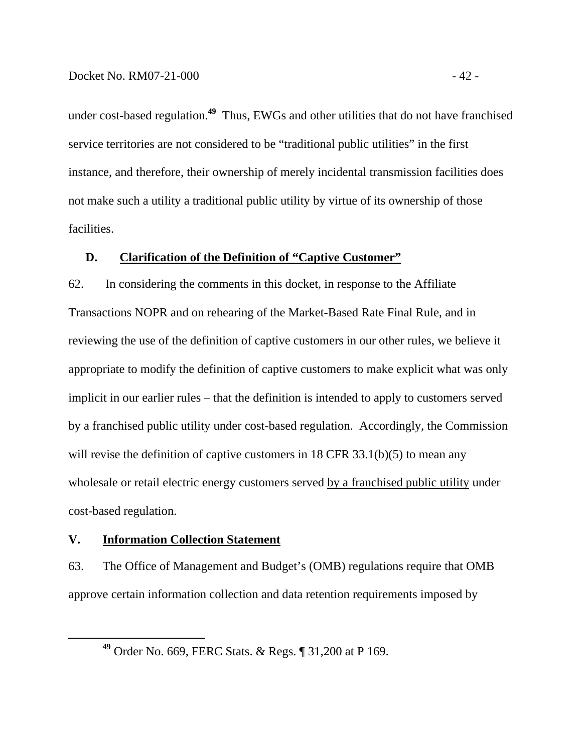under cost-based regulation.**<sup>49</sup>** Thus, EWGs and other utilities that do not have franchised service territories are not considered to be "traditional public utilities" in the first instance, and therefore, their ownership of merely incidental transmission facilities does not make such a utility a traditional public utility by virtue of its ownership of those facilities.

### **D. Clarification of the Definition of "Captive Customer"**

62. In considering the comments in this docket, in response to the Affiliate Transactions NOPR and on rehearing of the Market-Based Rate Final Rule, and in reviewing the use of the definition of captive customers in our other rules, we believe it appropriate to modify the definition of captive customers to make explicit what was only implicit in our earlier rules – that the definition is intended to apply to customers served by a franchised public utility under cost-based regulation. Accordingly, the Commission will revise the definition of captive customers in 18 CFR 33.1(b)(5) to mean any wholesale or retail electric energy customers served by a franchised public utility under cost-based regulation.

### **V. Information Collection Statement**

63. The Office of Management and Budget's (OMB) regulations require that OMB approve certain information collection and data retention requirements imposed by

**<sup>49</sup>** Order No. 669, FERC Stats. & Regs. ¶ 31,200 at P 169.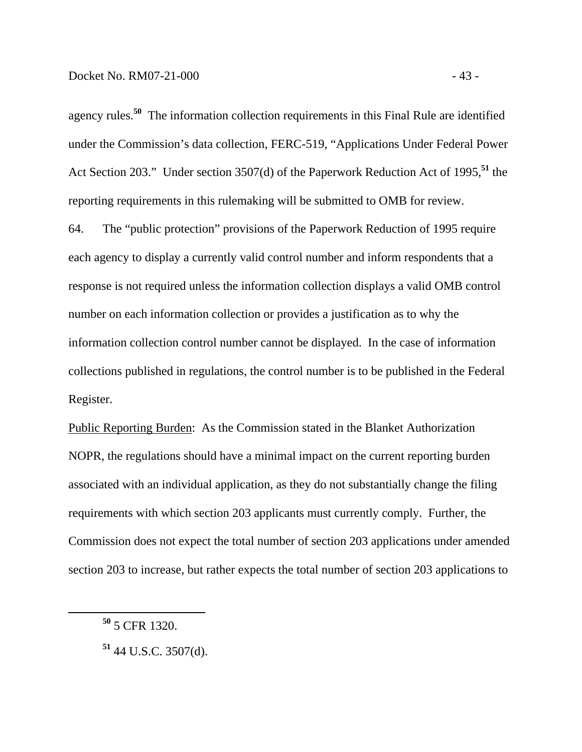agency rules.**<sup>50</sup>** The information collection requirements in this Final Rule are identified under the Commission's data collection, FERC-519, "Applications Under Federal Power Act Section 203." Under section 3507(d) of the Paperwork Reduction Act of 1995,**<sup>51</sup>** the reporting requirements in this rulemaking will be submitted to OMB for review.

64. The "public protection" provisions of the Paperwork Reduction of 1995 require each agency to display a currently valid control number and inform respondents that a response is not required unless the information collection displays a valid OMB control number on each information collection or provides a justification as to why the information collection control number cannot be displayed. In the case of information collections published in regulations, the control number is to be published in the Federal Register.

Public Reporting Burden: As the Commission stated in the Blanket Authorization NOPR, the regulations should have a minimal impact on the current reporting burden associated with an individual application, as they do not substantially change the filing requirements with which section 203 applicants must currently comply. Further, the Commission does not expect the total number of section 203 applications under amended section 203 to increase, but rather expects the total number of section 203 applications to

**<sup>50</sup>** 5 CFR 1320.

**<sup>51</sup>** 44 U.S.C. 3507(d).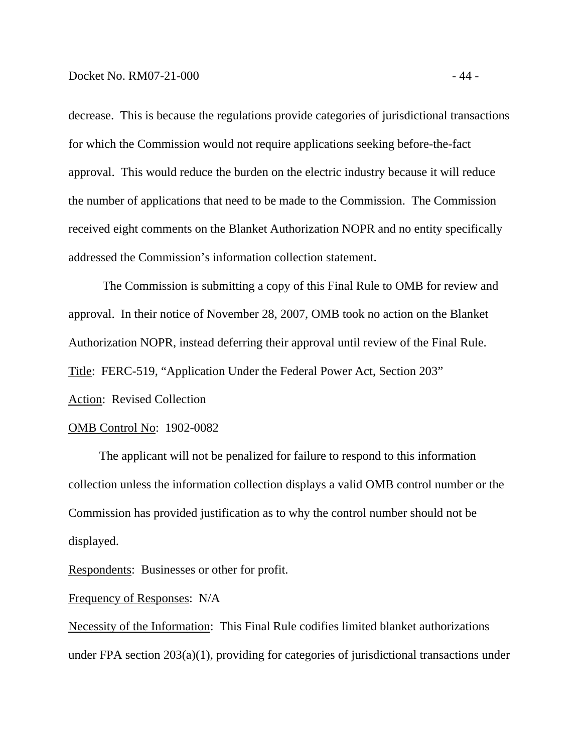decrease. This is because the regulations provide categories of jurisdictional transactions for which the Commission would not require applications seeking before-the-fact approval. This would reduce the burden on the electric industry because it will reduce the number of applications that need to be made to the Commission. The Commission received eight comments on the Blanket Authorization NOPR and no entity specifically addressed the Commission's information collection statement.

The Commission is submitting a copy of this Final Rule to OMB for review and approval. In their notice of November 28, 2007, OMB took no action on the Blanket Authorization NOPR, instead deferring their approval until review of the Final Rule. Title:FERC-519, "Application Under the Federal Power Act, Section 203" Action: Revised Collection

#### OMB Control No: 1902-0082

 The applicant will not be penalized for failure to respond to this information collection unless the information collection displays a valid OMB control number or the Commission has provided justification as to why the control number should not be displayed.

Respondents: Businesses or other for profit.

### Frequency of Responses: N/A

Necessity of the Information:This Final Rule codifies limited blanket authorizations under FPA section 203(a)(1), providing for categories of jurisdictional transactions under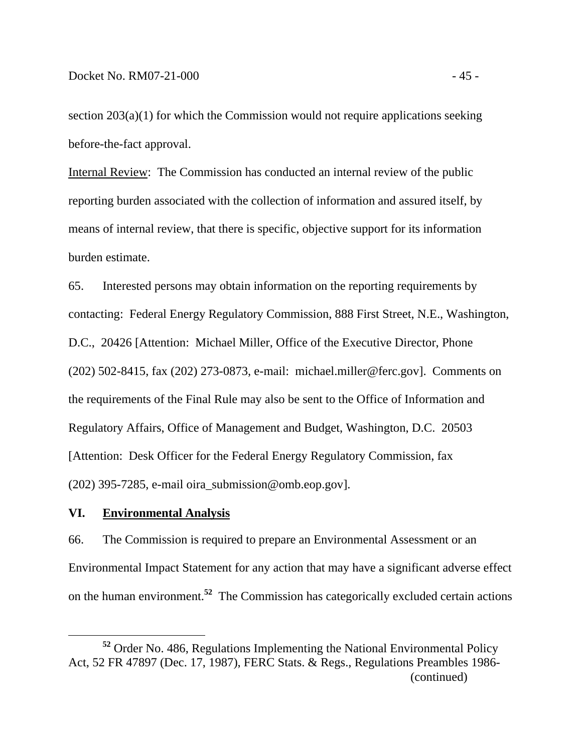section 203(a)(1) for which the Commission would not require applications seeking before-the-fact approval.

Internal Review:The Commission has conducted an internal review of the public reporting burden associated with the collection of information and assured itself, by means of internal review, that there is specific, objective support for its information burden estimate.

65. Interested persons may obtain information on the reporting requirements by contacting: Federal Energy Regulatory Commission, 888 First Street, N.E., Washington, D.C., 20426 [Attention: Michael Miller, Office of the Executive Director, Phone (202) 502-8415, fax (202) 273-0873, e-mail: michael.miller@ferc.gov]. Comments on the requirements of the Final Rule may also be sent to the Office of Information and Regulatory Affairs, Office of Management and Budget, Washington, D.C. 20503 [Attention: Desk Officer for the Federal Energy Regulatory Commission, fax (202) 395-7285, e-mail oira\_submission@omb.eop.gov].

#### **VI. Environmental Analysis**

66. The Commission is required to prepare an Environmental Assessment or an Environmental Impact Statement for any action that may have a significant adverse effect on the human environment.**<sup>52</sup>** The Commission has categorically excluded certain actions

**<sup>52</sup>** Order No. 486, Regulations Implementing the National Environmental Policy Act, 52 FR 47897 (Dec. 17, 1987), FERC Stats. & Regs., Regulations Preambles 1986- (continued)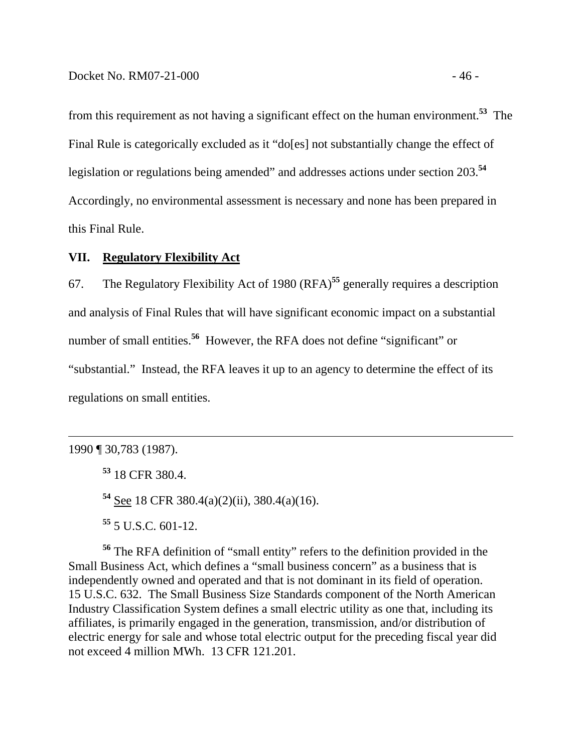from this requirement as not having a significant effect on the human environment.**<sup>53</sup>** The Final Rule is categorically excluded as it "do[es] not substantially change the effect of legislation or regulations being amended" and addresses actions under section 203.**<sup>54</sup>** Accordingly, no environmental assessment is necessary and none has been prepared in this Final Rule.

# **VII. Regulatory Flexibility Act**

67. The Regulatory Flexibility Act of 1980 (RFA)**<sup>55</sup>** generally requires a description and analysis of Final Rules that will have significant economic impact on a substantial number of small entities.**<sup>56</sup>** However, the RFA does not define "significant" or "substantial." Instead, the RFA leaves it up to an agency to determine the effect of its regulations on small entities.

 $\overline{a}$ 

**<sup>54</sup>** See 18 CFR 380.4(a)(2)(ii), 380.4(a)(16).

**<sup>55</sup>** 5 U.S.C. 601-12.

**<sup>56</sup>** The RFA definition of "small entity" refers to the definition provided in the Small Business Act, which defines a "small business concern" as a business that is independently owned and operated and that is not dominant in its field of operation. 15 U.S.C. 632. The Small Business Size Standards component of the North American Industry Classification System defines a small electric utility as one that, including its affiliates, is primarily engaged in the generation, transmission, and/or distribution of electric energy for sale and whose total electric output for the preceding fiscal year did not exceed 4 million MWh. 13 CFR 121.201.

<sup>1990 ¶ 30,783 (1987).</sup> 

**<sup>53</sup>** 18 CFR 380.4.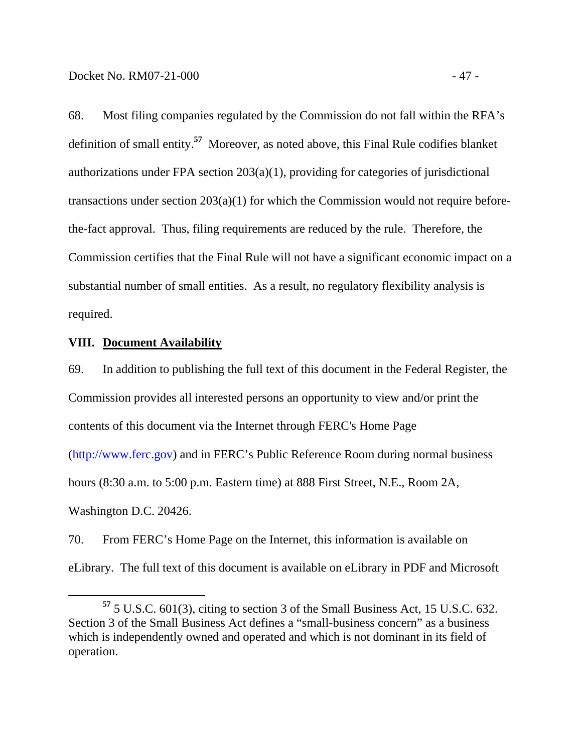68. Most filing companies regulated by the Commission do not fall within the RFA's definition of small entity.**<sup>57</sup>** Moreover, as noted above, this Final Rule codifies blanket authorizations under FPA section 203(a)(1), providing for categories of jurisdictional transactions under section 203(a)(1) for which the Commission would not require beforethe-fact approval. Thus, filing requirements are reduced by the rule. Therefore, the Commission certifies that the Final Rule will not have a significant economic impact on a substantial number of small entities. As a result, no regulatory flexibility analysis is required.

### **VIII. Document Availability**

69. In addition to publishing the full text of this document in the Federal Register, the Commission provides all interested persons an opportunity to view and/or print the contents of this document via the Internet through FERC's Home Page

(http://www.ferc.gov) and in FERC's Public Reference Room during normal business

hours (8:30 a.m. to 5:00 p.m. Eastern time) at 888 First Street, N.E., Room 2A,

Washington D.C. 20426.

70. From FERC's Home Page on the Internet, this information is available on eLibrary. The full text of this document is available on eLibrary in PDF and Microsoft

**<sup>57</sup>** 5 U.S.C. 601(3), citing to section 3 of the Small Business Act, 15 U.S.C. 632. Section 3 of the Small Business Act defines a "small-business concern" as a business which is independently owned and operated and which is not dominant in its field of operation.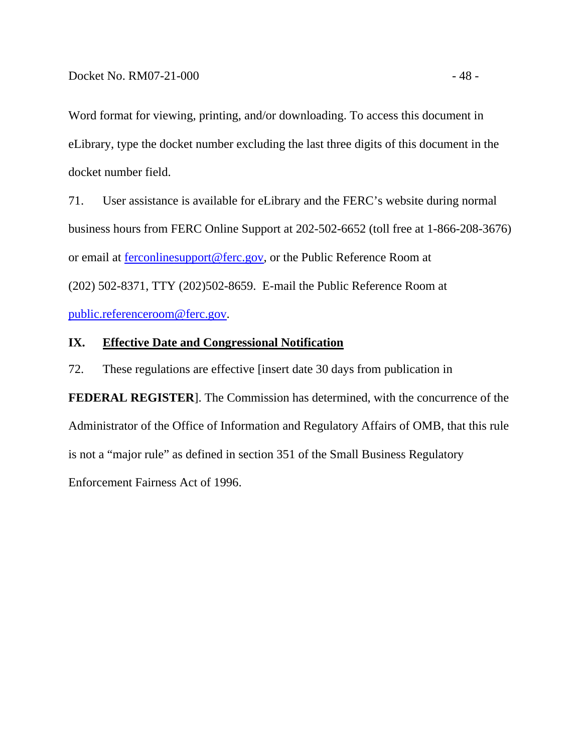Word format for viewing, printing, and/or downloading. To access this document in eLibrary, type the docket number excluding the last three digits of this document in the docket number field.

71. User assistance is available for eLibrary and the FERC's website during normal business hours from FERC Online Support at 202-502-6652 (toll free at 1-866-208-3676) or email at ferconlinesupport@ferc.gov, or the Public Reference Room at (202) 502-8371, TTY (202)502-8659. E-mail the Public Reference Room at public.referenceroom@ferc.gov.

# **IX. Effective Date and Congressional Notification**

72. These regulations are effective [insert date 30 days from publication in

**FEDERAL REGISTER**]. The Commission has determined, with the concurrence of the Administrator of the Office of Information and Regulatory Affairs of OMB, that this rule is not a "major rule" as defined in section 351 of the Small Business Regulatory Enforcement Fairness Act of 1996.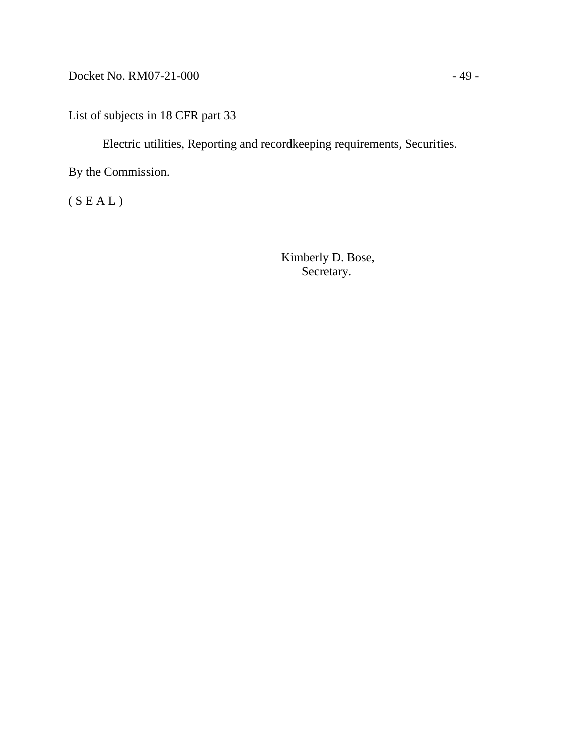Docket No. RM07-21-000 - 49 -

# List of subjects in 18 CFR part 33

Electric utilities, Reporting and recordkeeping requirements, Securities.

By the Commission.

 $(S E A L)$ 

 Kimberly D. Bose, Secretary.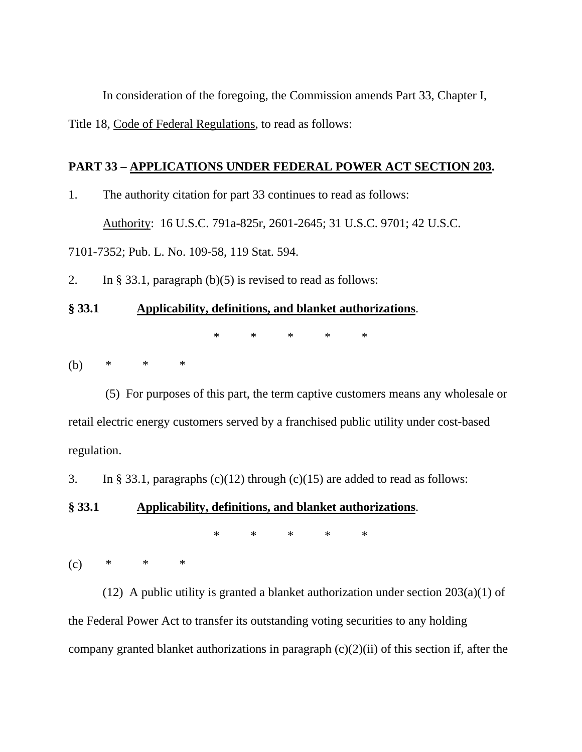In consideration of the foregoing, the Commission amends Part 33, Chapter I, Title 18, Code of Federal Regulations, to read as follows:

# **PART 33 – APPLICATIONS UNDER FEDERAL POWER ACT SECTION 203.**

1. The authority citation for part 33 continues to read as follows:

Authority: 16 U.S.C. 791a-825r, 2601-2645; 31 U.S.C. 9701; 42 U.S.C.

7101-7352; Pub. L. No. 109-58, 119 Stat. 594.

2. In § 33.1, paragraph (b)(5) is revised to read as follows:

### **§ 33.1 Applicability, definitions, and blanket authorizations**.

\* \* \* \* \*

(b) \* \* \*

 (5) For purposes of this part, the term captive customers means any wholesale or retail electric energy customers served by a franchised public utility under cost-based regulation.

3. In § 33.1, paragraphs  $(c)(12)$  through  $(c)(15)$  are added to read as follows:

### **§ 33.1 Applicability, definitions, and blanket authorizations**.

\* \* \* \* \*

 $(c)$  \* \* \*

(12) A public utility is granted a blanket authorization under section  $203(a)(1)$  of the Federal Power Act to transfer its outstanding voting securities to any holding company granted blanket authorizations in paragraph (c)(2)(ii) of this section if, after the